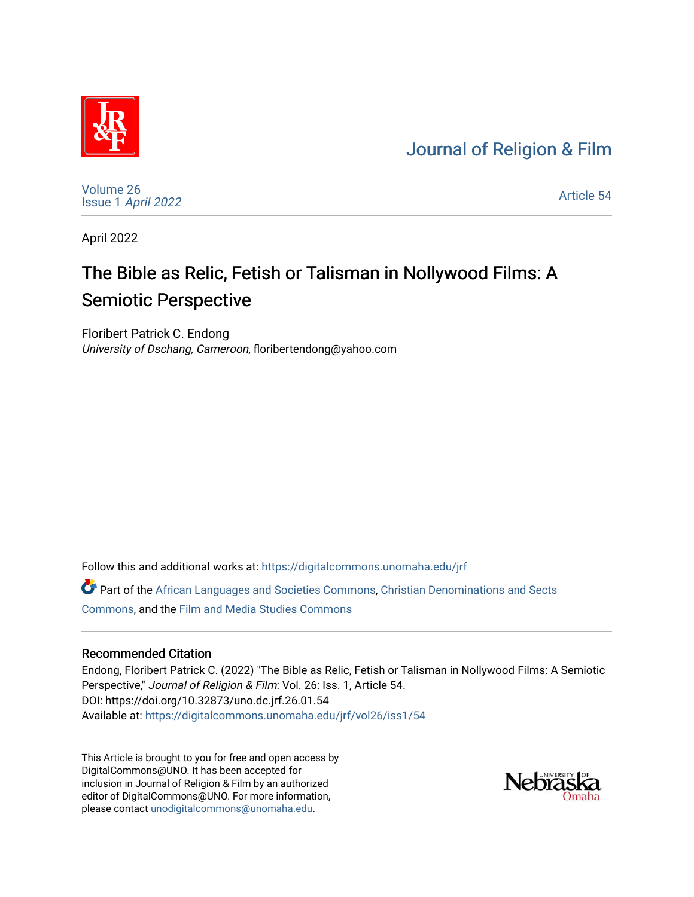# [Journal of Religion & Film](https://digitalcommons.unomaha.edu/jrf)



[Volume 26](https://digitalcommons.unomaha.edu/jrf/vol26) Issue 1 [April 2022](https://digitalcommons.unomaha.edu/jrf/vol26/iss1) 

[Article 54](https://digitalcommons.unomaha.edu/jrf/vol26/iss1/54) 

April 2022

# The Bible as Relic, Fetish or Talisman in Nollywood Films: A Semiotic Perspective

Floribert Patrick C. Endong University of Dschang, Cameroon, floribertendong@yahoo.com

Follow this and additional works at: [https://digitalcommons.unomaha.edu/jrf](https://digitalcommons.unomaha.edu/jrf?utm_source=digitalcommons.unomaha.edu%2Fjrf%2Fvol26%2Fiss1%2F54&utm_medium=PDF&utm_campaign=PDFCoverPages)

Part of the [African Languages and Societies Commons,](http://network.bepress.com/hgg/discipline/476?utm_source=digitalcommons.unomaha.edu%2Fjrf%2Fvol26%2Fiss1%2F54&utm_medium=PDF&utm_campaign=PDFCoverPages) [Christian Denominations and Sects](http://network.bepress.com/hgg/discipline/1184?utm_source=digitalcommons.unomaha.edu%2Fjrf%2Fvol26%2Fiss1%2F54&utm_medium=PDF&utm_campaign=PDFCoverPages)  [Commons](http://network.bepress.com/hgg/discipline/1184?utm_source=digitalcommons.unomaha.edu%2Fjrf%2Fvol26%2Fiss1%2F54&utm_medium=PDF&utm_campaign=PDFCoverPages), and the [Film and Media Studies Commons](http://network.bepress.com/hgg/discipline/563?utm_source=digitalcommons.unomaha.edu%2Fjrf%2Fvol26%2Fiss1%2F54&utm_medium=PDF&utm_campaign=PDFCoverPages) 

# Recommended Citation

Endong, Floribert Patrick C. (2022) "The Bible as Relic, Fetish or Talisman in Nollywood Films: A Semiotic Perspective," Journal of Religion & Film: Vol. 26: Iss. 1, Article 54. DOI: https://doi.org/10.32873/uno.dc.jrf.26.01.54 Available at: [https://digitalcommons.unomaha.edu/jrf/vol26/iss1/54](https://digitalcommons.unomaha.edu/jrf/vol26/iss1/54?utm_source=digitalcommons.unomaha.edu%2Fjrf%2Fvol26%2Fiss1%2F54&utm_medium=PDF&utm_campaign=PDFCoverPages) 

This Article is brought to you for free and open access by DigitalCommons@UNO. It has been accepted for inclusion in Journal of Religion & Film by an authorized editor of DigitalCommons@UNO. For more information, please contact [unodigitalcommons@unomaha.edu.](mailto:unodigitalcommons@unomaha.edu)

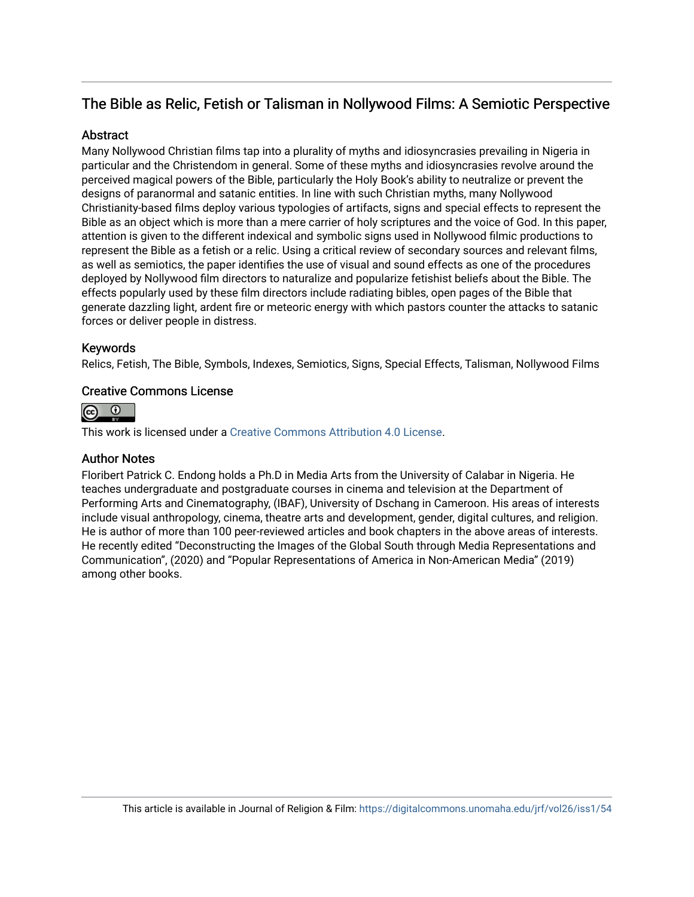# The Bible as Relic, Fetish or Talisman in Nollywood Films: A Semiotic Perspective

# **Abstract**

Many Nollywood Christian films tap into a plurality of myths and idiosyncrasies prevailing in Nigeria in particular and the Christendom in general. Some of these myths and idiosyncrasies revolve around the perceived magical powers of the Bible, particularly the Holy Book's ability to neutralize or prevent the designs of paranormal and satanic entities. In line with such Christian myths, many Nollywood Christianity-based films deploy various typologies of artifacts, signs and special effects to represent the Bible as an object which is more than a mere carrier of holy scriptures and the voice of God. In this paper, attention is given to the different indexical and symbolic signs used in Nollywood filmic productions to represent the Bible as a fetish or a relic. Using a critical review of secondary sources and relevant films, as well as semiotics, the paper identifies the use of visual and sound effects as one of the procedures deployed by Nollywood film directors to naturalize and popularize fetishist beliefs about the Bible. The effects popularly used by these film directors include radiating bibles, open pages of the Bible that generate dazzling light, ardent fire or meteoric energy with which pastors counter the attacks to satanic forces or deliver people in distress.

# Keywords

Relics, Fetish, The Bible, Symbols, Indexes, Semiotics, Signs, Special Effects, Talisman, Nollywood Films

# Creative Commons License



This work is licensed under a [Creative Commons Attribution 4.0 License](https://creativecommons.org/licenses/by/4.0/).

# Author Notes

Floribert Patrick C. Endong holds a Ph.D in Media Arts from the University of Calabar in Nigeria. He teaches undergraduate and postgraduate courses in cinema and television at the Department of Performing Arts and Cinematography, (IBAF), University of Dschang in Cameroon. His areas of interests include visual anthropology, cinema, theatre arts and development, gender, digital cultures, and religion. He is author of more than 100 peer-reviewed articles and book chapters in the above areas of interests. He recently edited "Deconstructing the Images of the Global South through Media Representations and Communication", (2020) and "Popular Representations of America in Non-American Media" (2019) among other books.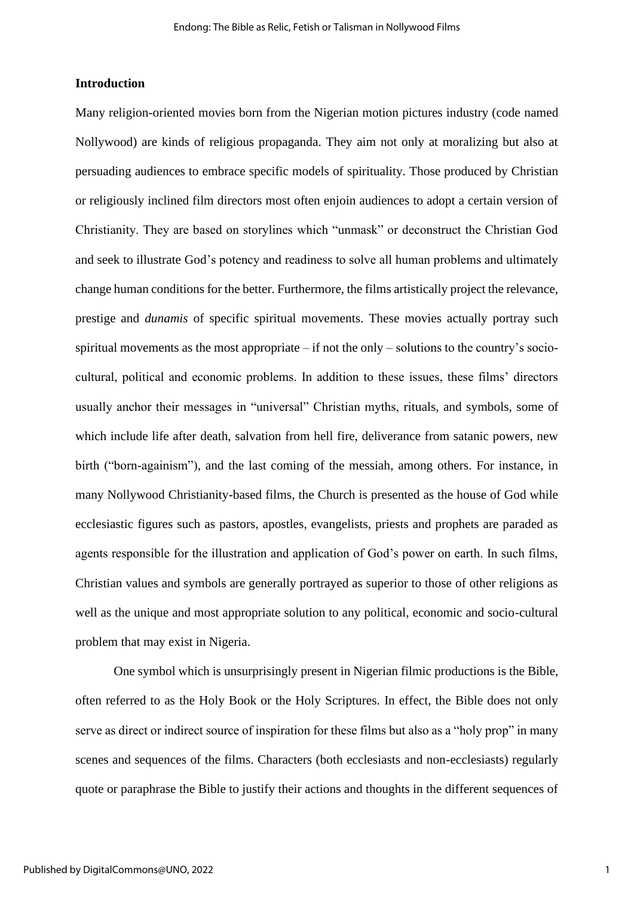# **Introduction**

Many religion-oriented movies born from the Nigerian motion pictures industry (code named Nollywood) are kinds of religious propaganda. They aim not only at moralizing but also at persuading audiences to embrace specific models of spirituality. Those produced by Christian or religiously inclined film directors most often enjoin audiences to adopt a certain version of Christianity. They are based on storylines which "unmask" or deconstruct the Christian God and seek to illustrate God's potency and readiness to solve all human problems and ultimately change human conditions for the better. Furthermore, the films artistically project the relevance, prestige and *dunamis* of specific spiritual movements. These movies actually portray such spiritual movements as the most appropriate – if not the only – solutions to the country's sociocultural, political and economic problems. In addition to these issues, these films' directors usually anchor their messages in "universal" Christian myths, rituals, and symbols, some of which include life after death, salvation from hell fire, deliverance from satanic powers, new birth ("born-againism"), and the last coming of the messiah, among others. For instance, in many Nollywood Christianity-based films, the Church is presented as the house of God while ecclesiastic figures such as pastors, apostles, evangelists, priests and prophets are paraded as agents responsible for the illustration and application of God's power on earth. In such films, Christian values and symbols are generally portrayed as superior to those of other religions as well as the unique and most appropriate solution to any political, economic and socio-cultural problem that may exist in Nigeria.

One symbol which is unsurprisingly present in Nigerian filmic productions is the Bible, often referred to as the Holy Book or the Holy Scriptures. In effect, the Bible does not only serve as direct or indirect source of inspiration for these films but also as a "holy prop" in many scenes and sequences of the films. Characters (both ecclesiasts and non-ecclesiasts) regularly quote or paraphrase the Bible to justify their actions and thoughts in the different sequences of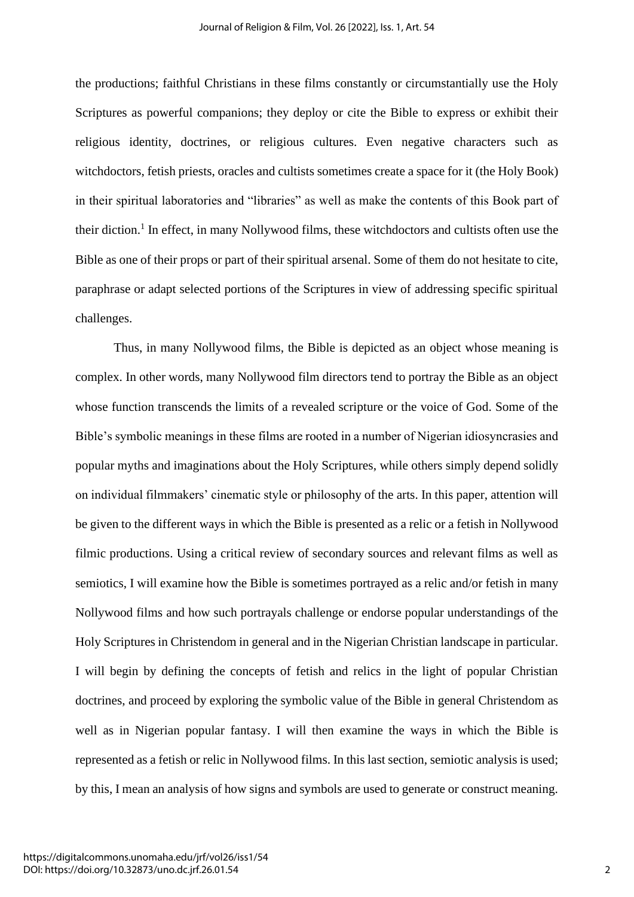the productions; faithful Christians in these films constantly or circumstantially use the Holy Scriptures as powerful companions; they deploy or cite the Bible to express or exhibit their religious identity, doctrines, or religious cultures. Even negative characters such as witchdoctors, fetish priests, oracles and cultists sometimes create a space for it (the Holy Book) in their spiritual laboratories and "libraries" as well as make the contents of this Book part of their diction.<sup>1</sup> In effect, in many Nollywood films, these witchdoctors and cultists often use the Bible as one of their props or part of their spiritual arsenal. Some of them do not hesitate to cite, paraphrase or adapt selected portions of the Scriptures in view of addressing specific spiritual challenges.

Thus, in many Nollywood films, the Bible is depicted as an object whose meaning is complex. In other words, many Nollywood film directors tend to portray the Bible as an object whose function transcends the limits of a revealed scripture or the voice of God. Some of the Bible's symbolic meanings in these films are rooted in a number of Nigerian idiosyncrasies and popular myths and imaginations about the Holy Scriptures, while others simply depend solidly on individual filmmakers' cinematic style or philosophy of the arts. In this paper, attention will be given to the different ways in which the Bible is presented as a relic or a fetish in Nollywood filmic productions. Using a critical review of secondary sources and relevant films as well as semiotics, I will examine how the Bible is sometimes portrayed as a relic and/or fetish in many Nollywood films and how such portrayals challenge or endorse popular understandings of the Holy Scriptures in Christendom in general and in the Nigerian Christian landscape in particular. I will begin by defining the concepts of fetish and relics in the light of popular Christian doctrines, and proceed by exploring the symbolic value of the Bible in general Christendom as well as in Nigerian popular fantasy. I will then examine the ways in which the Bible is represented as a fetish or relic in Nollywood films. In this last section, semiotic analysis is used; by this, I mean an analysis of how signs and symbols are used to generate or construct meaning.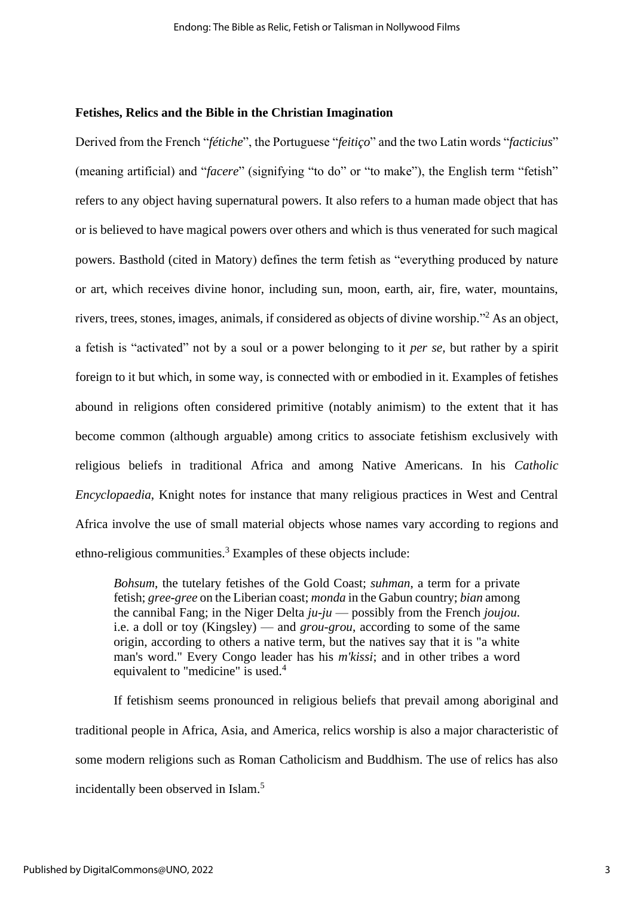#### **Fetishes, Relics and the Bible in the Christian Imagination**

Derived from the French "*fétiche*", the Portuguese "*feitiço*" and the two Latin words "*facticius*" (meaning artificial) and "*facere*" (signifying "to do" or "to make"), the English term "fetish" refers to any object having supernatural powers. It also refers to a human made object that has or is believed to have magical powers over others and which is thus venerated for such magical powers. Basthold (cited in Matory) defines the term fetish as "everything produced by nature or art, which receives divine honor, including sun, moon, earth, air, fire, water, mountains, rivers, trees, stones, images, animals, if considered as objects of divine worship." <sup>2</sup> As an object, a fetish is "activated" not by a soul or a power belonging to it *per se,* but rather by a spirit foreign to it but which, in some way, is connected with or embodied in it. Examples of fetishes abound in religions often considered primitive (notably animism) to the extent that it has become common (although arguable) among critics to associate fetishism exclusively with religious beliefs in traditional Africa and among Native Americans. In his *Catholic Encyclopaedia*, Knight notes for instance that many religious practices in West and Central Africa involve the use of small material objects whose names vary according to regions and ethno-religious communities.<sup>3</sup> Examples of these objects include:

*Bohsum*, the tutelary fetishes of the Gold Coast; *suhman*, a term for a private fetish; *gree-gree* on the Liberian coast; *monda* in the Gabun country; *bian* among the cannibal Fang; in the Niger Delta *ju-ju* — possibly from the French *joujou*. i.e. a doll or toy (Kingsley) — and *grou-grou*, according to some of the same origin, according to others a native term, but the natives say that it is "a white man's word." Every Congo leader has his *m'kissi*; and in other tribes a word equivalent to "medicine" is used.<sup>4</sup>

If fetishism seems pronounced in religious beliefs that prevail among aboriginal and traditional people in Africa, Asia, and America, relics worship is also a major characteristic of some modern religions such as Roman Catholicism and Buddhism. The use of relics has also incidentally been observed in Islam. 5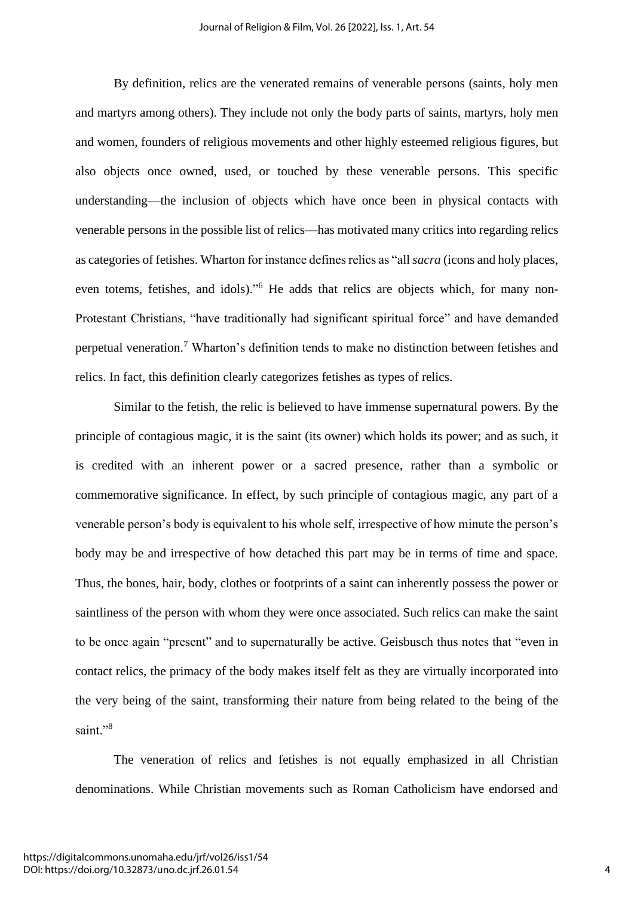By definition, relics are the venerated remains of venerable persons (saints, holy men and martyrs among others). They include not only the body parts of saints, martyrs, holy men and women, founders of religious movements and other highly esteemed religious figures, but also objects once owned, used, or touched by these venerable persons. This specific understanding—the inclusion of objects which have once been in physical contacts with venerable persons in the possible list of relics—has motivated many critics into regarding relics as categories of fetishes. Wharton for instance defines relics as "all *sacra* (icons and holy places, even totems, fetishes, and idols)."<sup>6</sup> He adds that relics are objects which, for many non-Protestant Christians, "have traditionally had significant spiritual force" and have demanded perpetual veneration.<sup>7</sup> Wharton's definition tends to make no distinction between fetishes and relics. In fact, this definition clearly categorizes fetishes as types of relics.

Similar to the fetish, the relic is believed to have immense supernatural powers. By the principle of contagious magic, it is the saint (its owner) which holds its power; and as such, it is credited with an inherent power or a sacred presence, rather than a symbolic or commemorative significance. In effect, by such principle of contagious magic, any part of a venerable person's body is equivalent to his whole self, irrespective of how minute the person's body may be and irrespective of how detached this part may be in terms of time and space. Thus, the bones, hair, body, clothes or footprints of a saint can inherently possess the power or saintliness of the person with whom they were once associated. Such relics can make the saint to be once again "present" and to supernaturally be active. Geisbusch thus notes that "even in contact relics, the primacy of the body makes itself felt as they are virtually incorporated into the very being of the saint, transforming their nature from being related to the being of the saint."8

The veneration of relics and fetishes is not equally emphasized in all Christian denominations. While Christian movements such as Roman Catholicism have endorsed and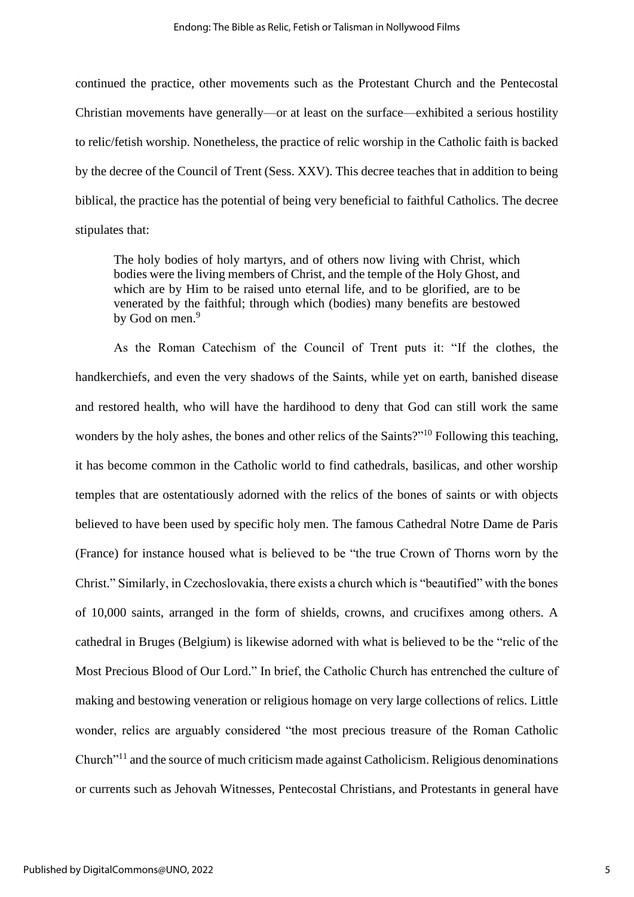continued the practice, other movements such as the Protestant Church and the Pentecostal Christian movements have generally—or at least on the surface—exhibited a serious hostility to relic/fetish worship. Nonetheless, the practice of relic worship in the Catholic faith is backed by the decree of the Council of Trent (Sess. XXV). This decree teaches that in addition to being biblical, the practice has the potential of being very beneficial to faithful Catholics. The decree stipulates that:

The holy bodies of holy martyrs, and of others now living with Christ, which bodies were the living members of Christ, and the temple of the Holy Ghost, and which are by Him to be raised unto eternal life, and to be glorified, are to be venerated by the faithful; through which (bodies) many benefits are bestowed by God on men.<sup>9</sup>

As the Roman Catechism of the Council of Trent puts it: "If the clothes, the handkerchiefs, and even the very shadows of the Saints, while yet on earth, banished disease and restored health, who will have the hardihood to deny that God can still work the same wonders by the holy ashes, the bones and other relics of the Saints?"<sup>10</sup> Following this teaching, it has become common in the Catholic world to find cathedrals, basilicas, and other worship temples that are ostentatiously adorned with the relics of the bones of saints or with objects believed to have been used by specific holy men. The famous Cathedral Notre Dame de Paris (France) for instance housed what is believed to be "the true Crown of Thorns worn by the Christ." Similarly, in Czechoslovakia, there exists a church which is "beautified" with the bones of 10,000 saints, arranged in the form of shields, crowns, and crucifixes among others. A cathedral in Bruges (Belgium) is likewise adorned with what is believed to be the "relic of the Most Precious Blood of Our Lord." In brief, the Catholic Church has entrenched the culture of making and bestowing veneration or religious homage on very large collections of relics. Little wonder, relics are arguably considered "the most precious treasure of the Roman Catholic Church"<sup>11</sup> and the source of much criticism made against Catholicism. Religious denominations or currents such as Jehovah Witnesses, Pentecostal Christians, and Protestants in general have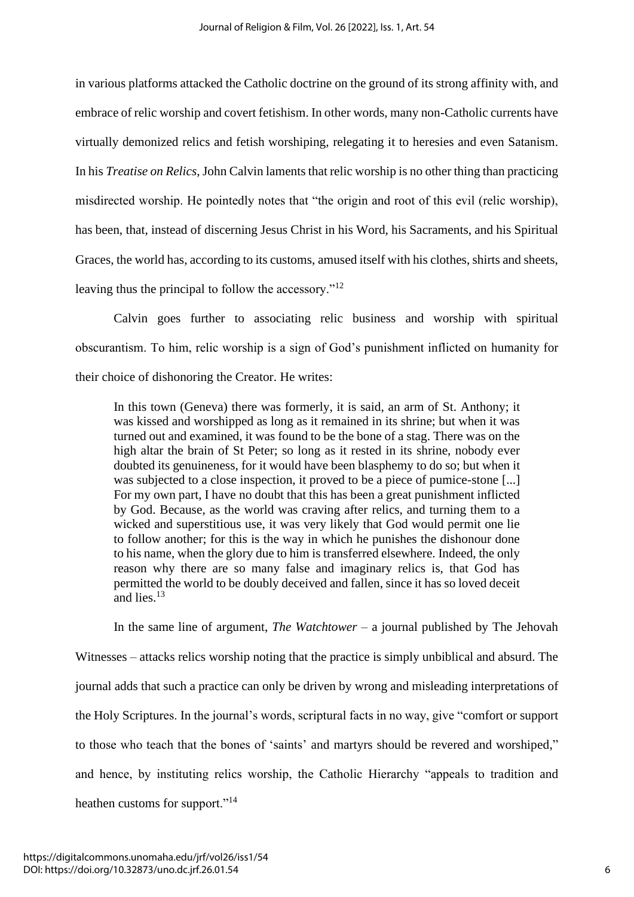in various platforms attacked the Catholic doctrine on the ground of its strong affinity with, and embrace of relic worship and covert fetishism. In other words, many non-Catholic currents have virtually demonized relics and fetish worshiping, relegating it to heresies and even Satanism. In his *Treatise on Relics*, John Calvin laments that relic worship is no other thing than practicing misdirected worship. He pointedly notes that "the origin and root of this evil (relic worship), has been, that, instead of discerning Jesus Christ in his Word, his Sacraments, and his Spiritual Graces, the world has, according to its customs, amused itself with his clothes, shirts and sheets, leaving thus the principal to follow the accessory."<sup>12</sup>

Calvin goes further to associating relic business and worship with spiritual obscurantism. To him, relic worship is a sign of God's punishment inflicted on humanity for their choice of dishonoring the Creator. He writes:

In this town (Geneva) there was formerly, it is said, an arm of St. Anthony; it was kissed and worshipped as long as it remained in its shrine; but when it was turned out and examined, it was found to be the bone of a stag. There was on the high altar the brain of St Peter; so long as it rested in its shrine, nobody ever doubted its genuineness, for it would have been blasphemy to do so; but when it was subjected to a close inspection, it proved to be a piece of pumice-stone [...] For my own part, I have no doubt that this has been a great punishment inflicted by God. Because, as the world was craving after relics, and turning them to a wicked and superstitious use, it was very likely that God would permit one lie to follow another; for this is the way in which he punishes the dishonour done to his name, when the glory due to him is transferred elsewhere. Indeed, the only reason why there are so many false and imaginary relics is, that God has permitted the world to be doubly deceived and fallen, since it has so loved deceit and lies.<sup>13</sup>

In the same line of argument, *The Watchtower* – a journal published by The Jehovah Witnesses – attacks relics worship noting that the practice is simply unbiblical and absurd. The journal adds that such a practice can only be driven by wrong and misleading interpretations of the Holy Scriptures. In the journal's words, scriptural facts in no way, give "comfort or support to those who teach that the bones of 'saints' and martyrs should be revered and worshiped," and hence, by instituting relics worship, the Catholic Hierarchy "appeals to tradition and heathen customs for support."<sup>14</sup>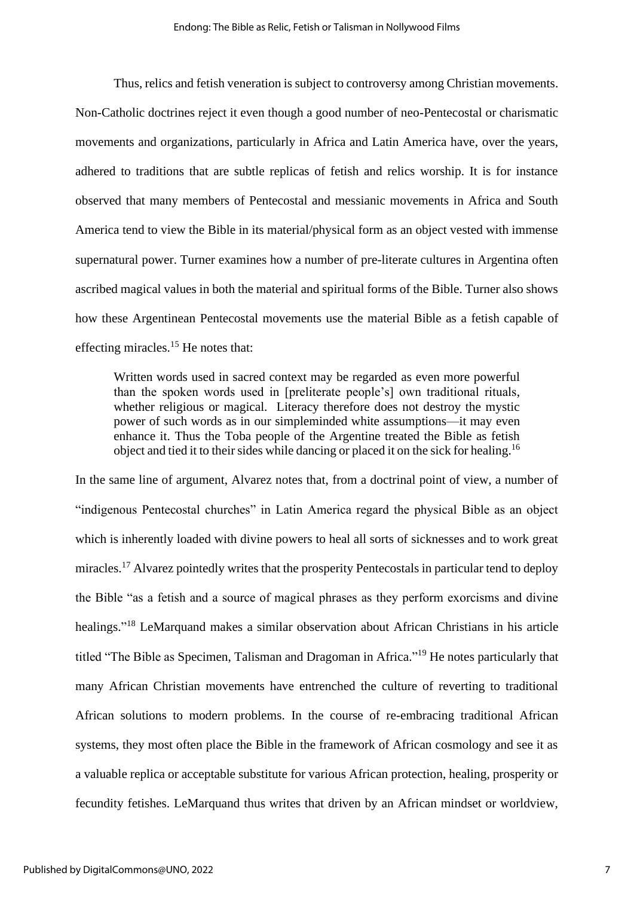Thus, relics and fetish veneration is subject to controversy among Christian movements. Non-Catholic doctrines reject it even though a good number of neo-Pentecostal or charismatic movements and organizations, particularly in Africa and Latin America have, over the years, adhered to traditions that are subtle replicas of fetish and relics worship. It is for instance observed that many members of Pentecostal and messianic movements in Africa and South America tend to view the Bible in its material/physical form as an object vested with immense supernatural power. Turner examines how a number of pre-literate cultures in Argentina often ascribed magical values in both the material and spiritual forms of the Bible. Turner also shows how these Argentinean Pentecostal movements use the material Bible as a fetish capable of effecting miracles.<sup>15</sup> He notes that:

Written words used in sacred context may be regarded as even more powerful than the spoken words used in [preliterate people's] own traditional rituals, whether religious or magical. Literacy therefore does not destroy the mystic power of such words as in our simpleminded white assumptions—it may even enhance it. Thus the Toba people of the Argentine treated the Bible as fetish object and tied it to their sides while dancing or placed it on the sick for healing.<sup>16</sup>

In the same line of argument, Alvarez notes that, from a doctrinal point of view, a number of "indigenous Pentecostal churches" in Latin America regard the physical Bible as an object which is inherently loaded with divine powers to heal all sorts of sicknesses and to work great miracles.<sup>17</sup> Alvarez pointedly writes that the prosperity Pentecostals in particular tend to deploy the Bible "as a fetish and a source of magical phrases as they perform exorcisms and divine healings."<sup>18</sup> LeMarquand makes a similar observation about African Christians in his article titled "The Bible as Specimen, Talisman and Dragoman in Africa."<sup>19</sup> He notes particularly that many African Christian movements have entrenched the culture of reverting to traditional African solutions to modern problems. In the course of re-embracing traditional African systems, they most often place the Bible in the framework of African cosmology and see it as a valuable replica or acceptable substitute for various African protection, healing, prosperity or fecundity fetishes. LeMarquand thus writes that driven by an African mindset or worldview,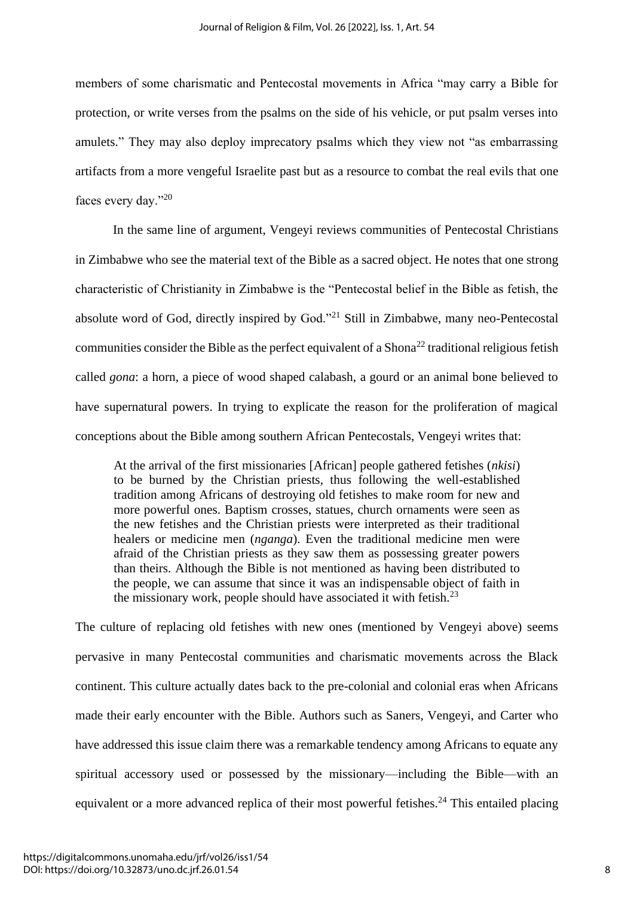members of some charismatic and Pentecostal movements in Africa "may carry a Bible for protection, or write verses from the psalms on the side of his vehicle, or put psalm verses into amulets." They may also deploy imprecatory psalms which they view not "as embarrassing artifacts from a more vengeful Israelite past but as a resource to combat the real evils that one faces every day."<sup>20</sup>

In the same line of argument, Vengeyi reviews communities of Pentecostal Christians in Zimbabwe who see the material text of the Bible as a sacred object. He notes that one strong characteristic of Christianity in Zimbabwe is the "Pentecostal belief in the Bible as fetish, the absolute word of God, directly inspired by God."<sup>21</sup> Still in Zimbabwe, many neo-Pentecostal communities consider the Bible as the perfect equivalent of a Shona<sup>22</sup> traditional religious fetish called *gona*: a horn, a piece of wood shaped calabash, a gourd or an animal bone believed to have supernatural powers. In trying to explicate the reason for the proliferation of magical conceptions about the Bible among southern African Pentecostals, Vengeyi writes that:

At the arrival of the first missionaries [African] people gathered fetishes (*nkisi*) to be burned by the Christian priests, thus following the well-established tradition among Africans of destroying old fetishes to make room for new and more powerful ones. Baptism crosses, statues, church ornaments were seen as the new fetishes and the Christian priests were interpreted as their traditional healers or medicine men (*nganga*). Even the traditional medicine men were afraid of the Christian priests as they saw them as possessing greater powers than theirs. Although the Bible is not mentioned as having been distributed to the people, we can assume that since it was an indispensable object of faith in the missionary work, people should have associated it with fetish. $^{23}$ 

The culture of replacing old fetishes with new ones (mentioned by Vengeyi above) seems pervasive in many Pentecostal communities and charismatic movements across the Black continent. This culture actually dates back to the pre-colonial and colonial eras when Africans made their early encounter with the Bible. Authors such as Saners, Vengeyi, and Carter who have addressed this issue claim there was a remarkable tendency among Africans to equate any spiritual accessory used or possessed by the missionary—including the Bible—with an equivalent or a more advanced replica of their most powerful fetishes.<sup>24</sup> This entailed placing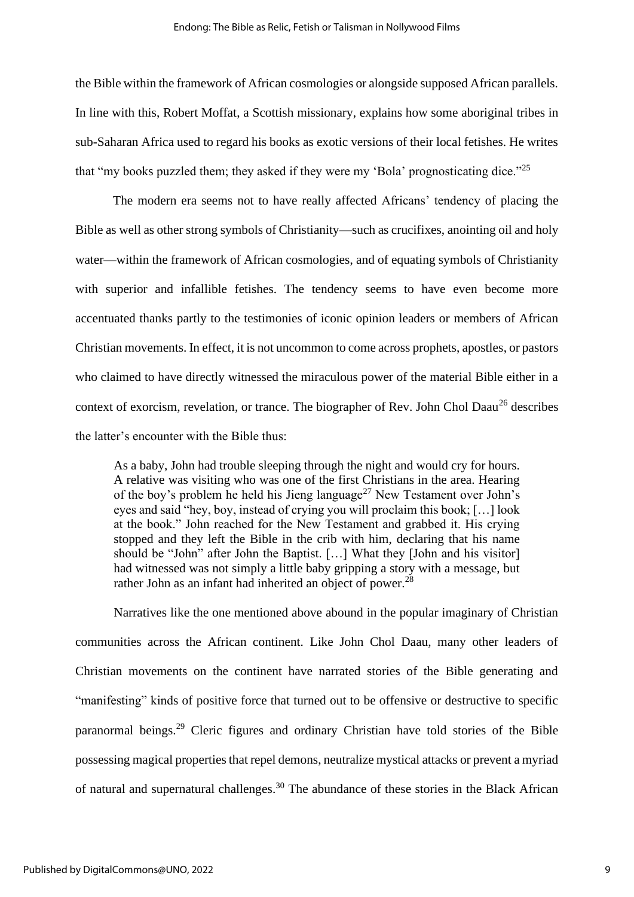the Bible within the framework of African cosmologies or alongside supposed African parallels. In line with this, Robert Moffat, a Scottish missionary, explains how some aboriginal tribes in sub-Saharan Africa used to regard his books as exotic versions of their local fetishes. He writes that "my books puzzled them; they asked if they were my 'Bola' prognosticating dice."<sup>25</sup>

The modern era seems not to have really affected Africans' tendency of placing the Bible as well as other strong symbols of Christianity—such as crucifixes, anointing oil and holy water—within the framework of African cosmologies, and of equating symbols of Christianity with superior and infallible fetishes. The tendency seems to have even become more accentuated thanks partly to the testimonies of iconic opinion leaders or members of African Christian movements. In effect, it is not uncommon to come across prophets, apostles, or pastors who claimed to have directly witnessed the miraculous power of the material Bible either in a context of exorcism, revelation, or trance. The biographer of Rev. John Chol Daau<sup>26</sup> describes the latter's encounter with the Bible thus:

As a baby, John had trouble sleeping through the night and would cry for hours. A relative was visiting who was one of the first Christians in the area. Hearing of the boy's problem he held his Jieng language<sup>27</sup> New Testament over John's eyes and said "hey, boy, instead of crying you will proclaim this book; […] look at the book." John reached for the New Testament and grabbed it. His crying stopped and they left the Bible in the crib with him, declaring that his name should be "John" after John the Baptist. […] What they [John and his visitor] had witnessed was not simply a little baby gripping a story with a message, but rather John as an infant had inherited an object of power.<sup>28</sup>

Narratives like the one mentioned above abound in the popular imaginary of Christian communities across the African continent. Like John Chol Daau, many other leaders of Christian movements on the continent have narrated stories of the Bible generating and "manifesting" kinds of positive force that turned out to be offensive or destructive to specific paranormal beings.<sup>29</sup> Cleric figures and ordinary Christian have told stories of the Bible possessing magical properties that repel demons, neutralize mystical attacks or prevent a myriad of natural and supernatural challenges.<sup>30</sup> The abundance of these stories in the Black African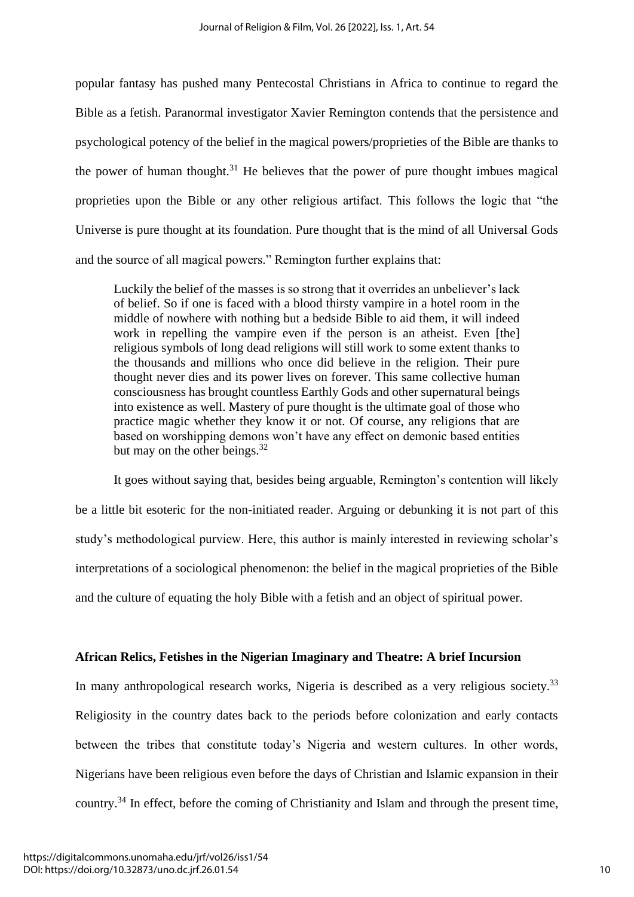popular fantasy has pushed many Pentecostal Christians in Africa to continue to regard the Bible as a fetish. Paranormal investigator Xavier Remington contends that the persistence and psychological potency of the belief in the magical powers/proprieties of the Bible are thanks to the power of human thought.<sup>31</sup> He believes that the power of pure thought imbues magical proprieties upon the Bible or any other religious artifact. This follows the logic that "the Universe is pure thought at its foundation. Pure thought that is the mind of all Universal Gods and the source of all magical powers." Remington further explains that:

Luckily the belief of the masses is so strong that it overrides an unbeliever's lack of belief. So if one is faced with a blood thirsty vampire in a hotel room in the middle of nowhere with nothing but a bedside Bible to aid them, it will indeed work in repelling the vampire even if the person is an atheist. Even [the] religious symbols of long dead religions will still work to some extent thanks to the thousands and millions who once did believe in the religion. Their pure thought never dies and its power lives on forever. This same collective human consciousness has brought countless Earthly Gods and other supernatural beings into existence as well. Mastery of pure thought is the ultimate goal of those who practice magic whether they know it or not. Of course, any religions that are based on worshipping demons won't have any effect on demonic based entities but may on the other beings. $32$ 

It goes without saying that, besides being arguable, Remington's contention will likely be a little bit esoteric for the non-initiated reader. Arguing or debunking it is not part of this study's methodological purview. Here, this author is mainly interested in reviewing scholar's interpretations of a sociological phenomenon: the belief in the magical proprieties of the Bible and the culture of equating the holy Bible with a fetish and an object of spiritual power.

#### **African Relics, Fetishes in the Nigerian Imaginary and Theatre: A brief Incursion**

In many anthropological research works, Nigeria is described as a very religious society.<sup>33</sup> Religiosity in the country dates back to the periods before colonization and early contacts between the tribes that constitute today's Nigeria and western cultures. In other words, Nigerians have been religious even before the days of Christian and Islamic expansion in their country.<sup>34</sup> In effect, before the coming of Christianity and Islam and through the present time,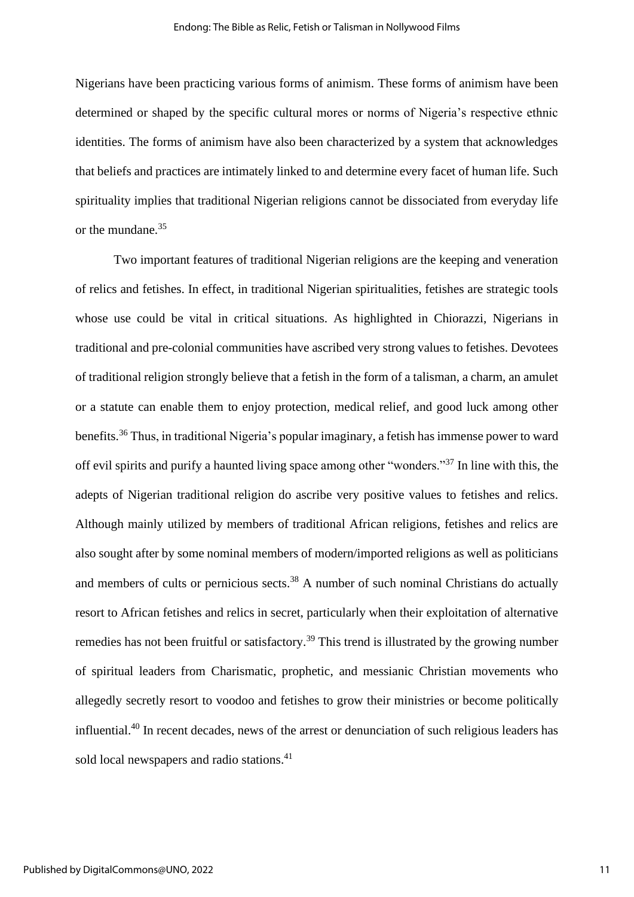Nigerians have been practicing various forms of animism. These forms of animism have been determined or shaped by the specific cultural mores or norms of Nigeria's respective ethnic identities. The forms of animism have also been characterized by a system that acknowledges that beliefs and practices are intimately linked to and determine every facet of human life. Such spirituality implies that traditional Nigerian religions cannot be dissociated from everyday life or the mundane. 35

Two important features of traditional Nigerian religions are the keeping and veneration of relics and fetishes. In effect, in traditional Nigerian spiritualities, fetishes are strategic tools whose use could be vital in critical situations. As highlighted in Chiorazzi, Nigerians in traditional and pre-colonial communities have ascribed very strong values to fetishes. Devotees of traditional religion strongly believe that a fetish in the form of a talisman, a charm, an amulet or a statute can enable them to enjoy protection, medical relief, and good luck among other benefits.<sup>36</sup> Thus, in traditional Nigeria's popular imaginary, a fetish has immense power to ward off evil spirits and purify a haunted living space among other "wonders."<sup>37</sup> In line with this, the adepts of Nigerian traditional religion do ascribe very positive values to fetishes and relics. Although mainly utilized by members of traditional African religions, fetishes and relics are also sought after by some nominal members of modern/imported religions as well as politicians and members of cults or pernicious sects.<sup>38</sup> A number of such nominal Christians do actually resort to African fetishes and relics in secret, particularly when their exploitation of alternative remedies has not been fruitful or satisfactory.<sup>39</sup> This trend is illustrated by the growing number of spiritual leaders from Charismatic, prophetic, and messianic Christian movements who allegedly secretly resort to voodoo and fetishes to grow their ministries or become politically influential.<sup>40</sup> In recent decades, news of the arrest or denunciation of such religious leaders has sold local newspapers and radio stations.<sup>41</sup>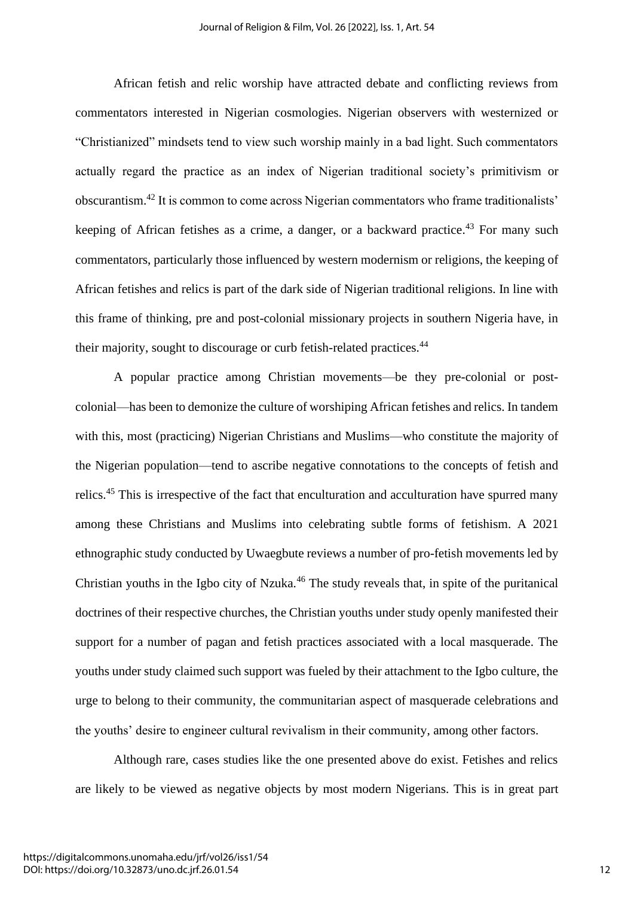African fetish and relic worship have attracted debate and conflicting reviews from commentators interested in Nigerian cosmologies. Nigerian observers with westernized or "Christianized" mindsets tend to view such worship mainly in a bad light. Such commentators actually regard the practice as an index of Nigerian traditional society's primitivism or obscurantism. <sup>42</sup> It is common to come across Nigerian commentators who frame traditionalists' keeping of African fetishes as a crime, a danger, or a backward practice. <sup>43</sup> For many such commentators, particularly those influenced by western modernism or religions, the keeping of African fetishes and relics is part of the dark side of Nigerian traditional religions. In line with this frame of thinking, pre and post-colonial missionary projects in southern Nigeria have, in their majority, sought to discourage or curb fetish-related practices.<sup>44</sup>

A popular practice among Christian movements—be they pre-colonial or postcolonial—has been to demonize the culture of worshiping African fetishes and relics. In tandem with this, most (practicing) Nigerian Christians and Muslims—who constitute the majority of the Nigerian population—tend to ascribe negative connotations to the concepts of fetish and relics.<sup>45</sup> This is irrespective of the fact that enculturation and acculturation have spurred many among these Christians and Muslims into celebrating subtle forms of fetishism. A 2021 ethnographic study conducted by Uwaegbute reviews a number of pro-fetish movements led by Christian youths in the Igbo city of Nzuka. $46$  The study reveals that, in spite of the puritanical doctrines of their respective churches, the Christian youths under study openly manifested their support for a number of pagan and fetish practices associated with a local masquerade. The youths under study claimed such support was fueled by their attachment to the Igbo culture, the urge to belong to their community, the communitarian aspect of masquerade celebrations and the youths' desire to engineer cultural revivalism in their community, among other factors.

Although rare, cases studies like the one presented above do exist. Fetishes and relics are likely to be viewed as negative objects by most modern Nigerians. This is in great part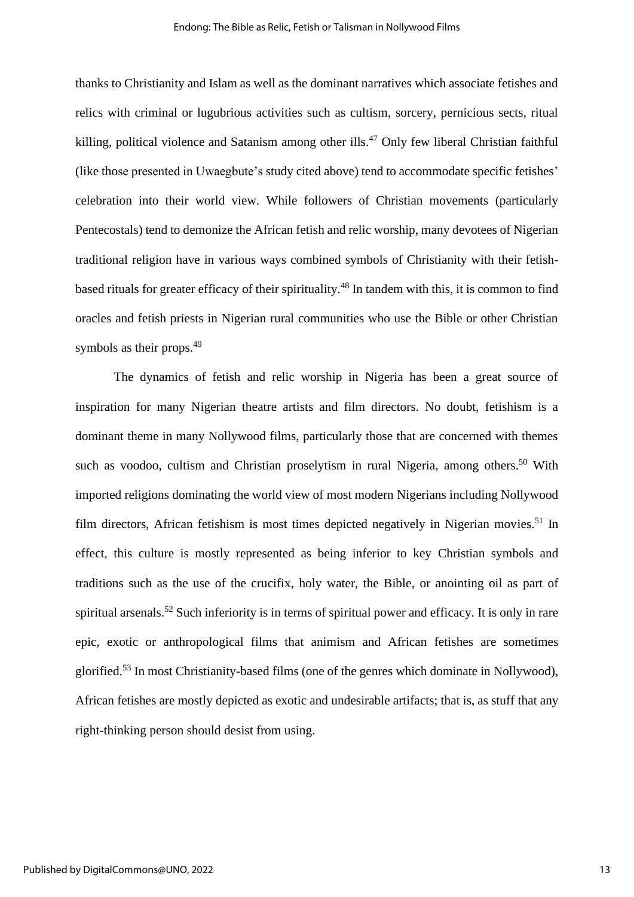thanks to Christianity and Islam as well as the dominant narratives which associate fetishes and relics with criminal or lugubrious activities such as cultism, sorcery, pernicious sects, ritual killing, political violence and Satanism among other ills.<sup>47</sup> Only few liberal Christian faithful (like those presented in Uwaegbute's study cited above) tend to accommodate specific fetishes' celebration into their world view. While followers of Christian movements (particularly Pentecostals) tend to demonize the African fetish and relic worship, many devotees of Nigerian traditional religion have in various ways combined symbols of Christianity with their fetishbased rituals for greater efficacy of their spirituality.<sup>48</sup> In tandem with this, it is common to find oracles and fetish priests in Nigerian rural communities who use the Bible or other Christian symbols as their props.<sup>49</sup>

The dynamics of fetish and relic worship in Nigeria has been a great source of inspiration for many Nigerian theatre artists and film directors. No doubt, fetishism is a dominant theme in many Nollywood films, particularly those that are concerned with themes such as voodoo, cultism and Christian proselytism in rural Nigeria, among others.<sup>50</sup> With imported religions dominating the world view of most modern Nigerians including Nollywood film directors, African fetishism is most times depicted negatively in Nigerian movies.<sup>51</sup> In effect, this culture is mostly represented as being inferior to key Christian symbols and traditions such as the use of the crucifix, holy water, the Bible, or anointing oil as part of spiritual arsenals.<sup>52</sup> Such inferiority is in terms of spiritual power and efficacy. It is only in rare epic, exotic or anthropological films that animism and African fetishes are sometimes glorified.<sup>53</sup> In most Christianity-based films (one of the genres which dominate in Nollywood), African fetishes are mostly depicted as exotic and undesirable artifacts; that is, as stuff that any right-thinking person should desist from using.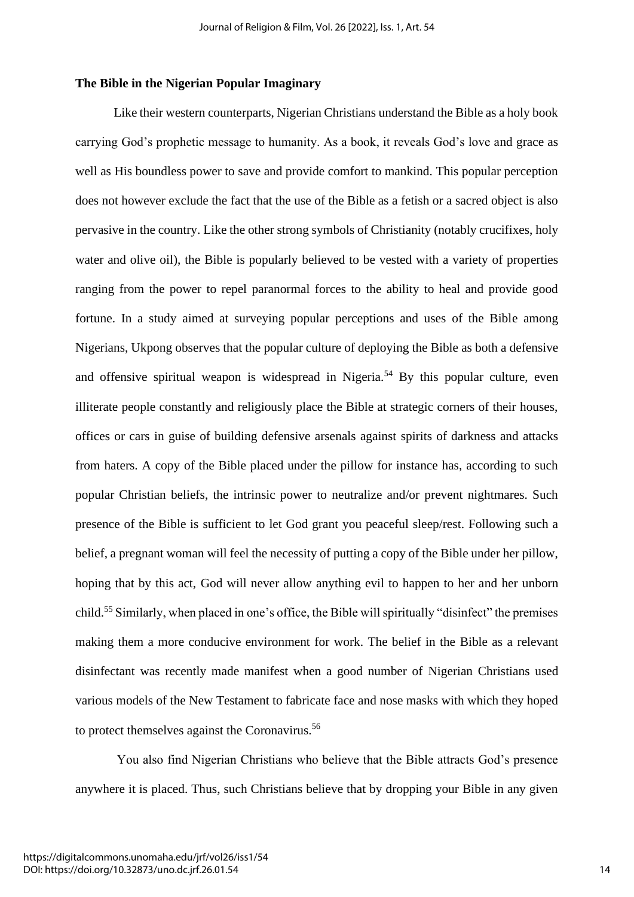#### **The Bible in the Nigerian Popular Imaginary**

Like their western counterparts, Nigerian Christians understand the Bible as a holy book carrying God's prophetic message to humanity. As a book, it reveals God's love and grace as well as His boundless power to save and provide comfort to mankind. This popular perception does not however exclude the fact that the use of the Bible as a fetish or a sacred object is also pervasive in the country. Like the other strong symbols of Christianity (notably crucifixes, holy water and olive oil), the Bible is popularly believed to be vested with a variety of properties ranging from the power to repel paranormal forces to the ability to heal and provide good fortune. In a study aimed at surveying popular perceptions and uses of the Bible among Nigerians, Ukpong observes that the popular culture of deploying the Bible as both a defensive and offensive spiritual weapon is widespread in Nigeria.<sup>54</sup> By this popular culture, even illiterate people constantly and religiously place the Bible at strategic corners of their houses, offices or cars in guise of building defensive arsenals against spirits of darkness and attacks from haters. A copy of the Bible placed under the pillow for instance has, according to such popular Christian beliefs, the intrinsic power to neutralize and/or prevent nightmares. Such presence of the Bible is sufficient to let God grant you peaceful sleep/rest. Following such a belief, a pregnant woman will feel the necessity of putting a copy of the Bible under her pillow, hoping that by this act, God will never allow anything evil to happen to her and her unborn child.<sup>55</sup> Similarly, when placed in one's office, the Bible will spiritually "disinfect" the premises making them a more conducive environment for work. The belief in the Bible as a relevant disinfectant was recently made manifest when a good number of Nigerian Christians used various models of the New Testament to fabricate face and nose masks with which they hoped to protect themselves against the Coronavirus.<sup>56</sup>

You also find Nigerian Christians who believe that the Bible attracts God's presence anywhere it is placed. Thus, such Christians believe that by dropping your Bible in any given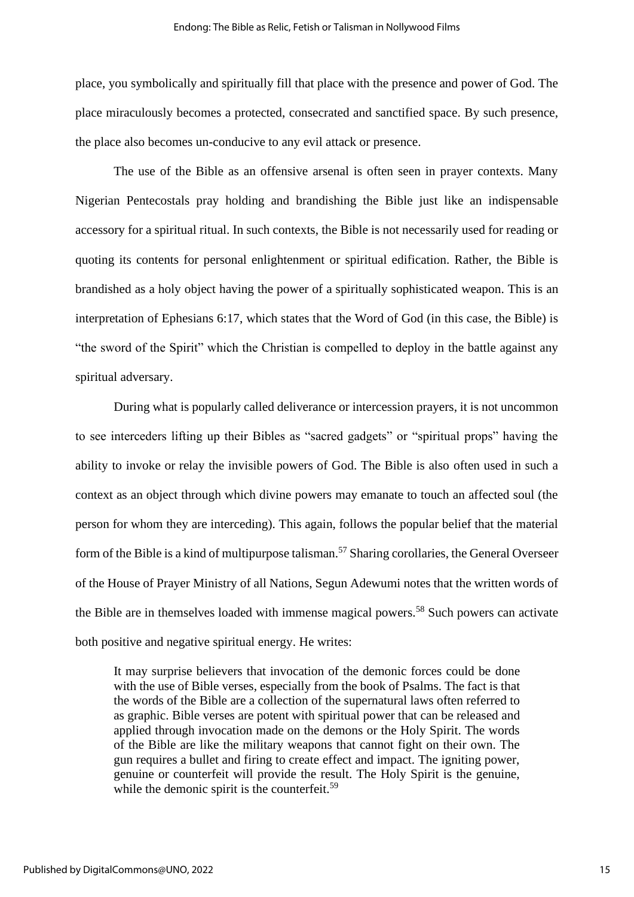place, you symbolically and spiritually fill that place with the presence and power of God. The place miraculously becomes a protected, consecrated and sanctified space. By such presence, the place also becomes un-conducive to any evil attack or presence.

The use of the Bible as an offensive arsenal is often seen in prayer contexts. Many Nigerian Pentecostals pray holding and brandishing the Bible just like an indispensable accessory for a spiritual ritual. In such contexts, the Bible is not necessarily used for reading or quoting its contents for personal enlightenment or spiritual edification. Rather, the Bible is brandished as a holy object having the power of a spiritually sophisticated weapon. This is an interpretation of Ephesians 6:17, which states that the Word of God (in this case, the Bible) is "the sword of the Spirit" which the Christian is compelled to deploy in the battle against any spiritual adversary.

During what is popularly called deliverance or intercession prayers, it is not uncommon to see interceders lifting up their Bibles as "sacred gadgets" or "spiritual props" having the ability to invoke or relay the invisible powers of God. The Bible is also often used in such a context as an object through which divine powers may emanate to touch an affected soul (the person for whom they are interceding). This again, follows the popular belief that the material form of the Bible is a kind of multipurpose talisman.<sup>57</sup> Sharing corollaries, the General Overseer of the House of Prayer Ministry of all Nations, Segun Adewumi notes that the written words of the Bible are in themselves loaded with immense magical powers. <sup>58</sup> Such powers can activate both positive and negative spiritual energy. He writes:

It may surprise believers that invocation of the demonic forces could be done with the use of Bible verses, especially from the book of Psalms. The fact is that the words of the Bible are a collection of the supernatural laws often referred to as graphic. Bible verses are potent with spiritual power that can be released and applied through invocation made on the demons or the Holy Spirit. The words of the Bible are like the military weapons that cannot fight on their own. The gun requires a bullet and firing to create effect and impact. The igniting power, genuine or counterfeit will provide the result. The Holy Spirit is the genuine, while the demonic spirit is the counterfeit.<sup>59</sup>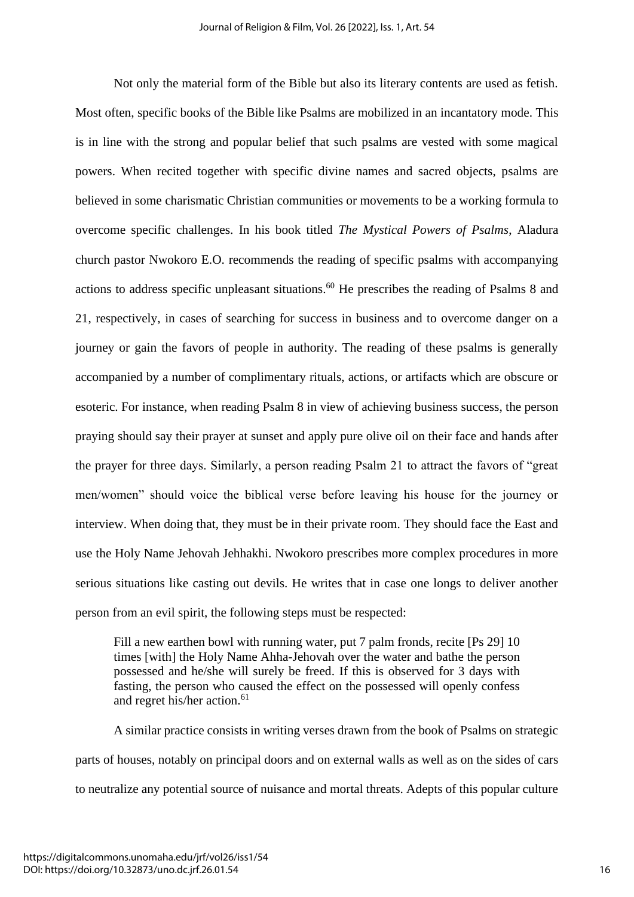Not only the material form of the Bible but also its literary contents are used as fetish. Most often, specific books of the Bible like Psalms are mobilized in an incantatory mode. This is in line with the strong and popular belief that such psalms are vested with some magical powers. When recited together with specific divine names and sacred objects, psalms are believed in some charismatic Christian communities or movements to be a working formula to overcome specific challenges. In his book titled *The Mystical Powers of Psalms*, Aladura church pastor Nwokoro E.O. recommends the reading of specific psalms with accompanying actions to address specific unpleasant situations.<sup>60</sup> He prescribes the reading of Psalms 8 and 21, respectively, in cases of searching for success in business and to overcome danger on a journey or gain the favors of people in authority. The reading of these psalms is generally accompanied by a number of complimentary rituals, actions, or artifacts which are obscure or esoteric. For instance, when reading Psalm 8 in view of achieving business success, the person praying should say their prayer at sunset and apply pure olive oil on their face and hands after the prayer for three days. Similarly, a person reading Psalm 21 to attract the favors of "great men/women" should voice the biblical verse before leaving his house for the journey or interview. When doing that, they must be in their private room. They should face the East and use the Holy Name Jehovah Jehhakhi. Nwokoro prescribes more complex procedures in more serious situations like casting out devils. He writes that in case one longs to deliver another person from an evil spirit, the following steps must be respected:

Fill a new earthen bowl with running water, put 7 palm fronds, recite [Ps 29] 10 times [with] the Holy Name Ahha-Jehovah over the water and bathe the person possessed and he/she will surely be freed. If this is observed for 3 days with fasting, the person who caused the effect on the possessed will openly confess and regret his/her action.<sup>61</sup>

A similar practice consists in writing verses drawn from the book of Psalms on strategic parts of houses, notably on principal doors and on external walls as well as on the sides of cars to neutralize any potential source of nuisance and mortal threats. Adepts of this popular culture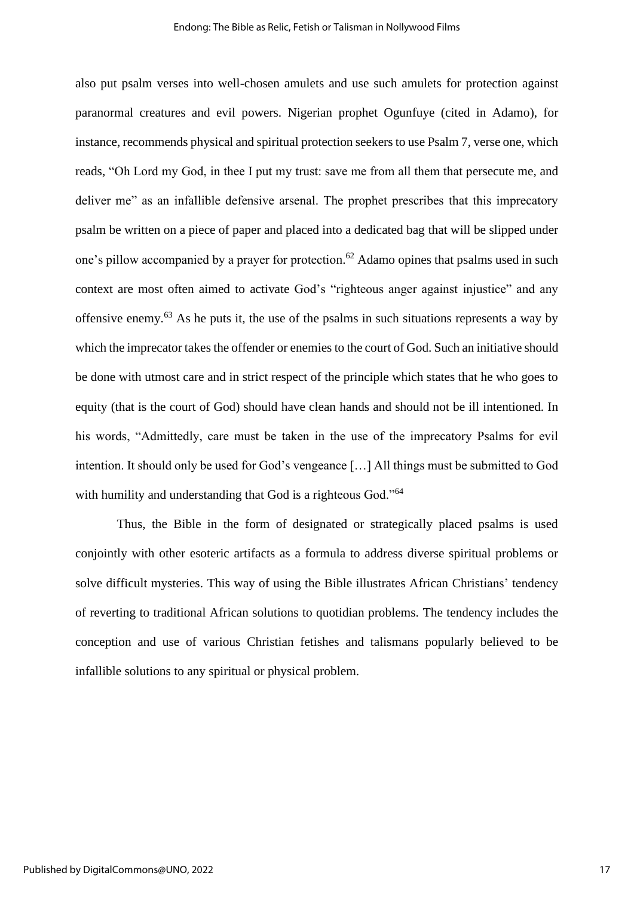also put psalm verses into well-chosen amulets and use such amulets for protection against paranormal creatures and evil powers. Nigerian prophet Ogunfuye (cited in Adamo), for instance, recommends physical and spiritual protection seekers to use Psalm 7, verse one, which reads, "Oh Lord my God, in thee I put my trust: save me from all them that persecute me, and deliver me" as an infallible defensive arsenal. The prophet prescribes that this imprecatory psalm be written on a piece of paper and placed into a dedicated bag that will be slipped under one's pillow accompanied by a prayer for protection.<sup>62</sup> Adamo opines that psalms used in such context are most often aimed to activate God's "righteous anger against injustice" and any offensive enemy.<sup>63</sup> As he puts it, the use of the psalms in such situations represents a way by which the imprecator takes the offender or enemies to the court of God. Such an initiative should be done with utmost care and in strict respect of the principle which states that he who goes to equity (that is the court of God) should have clean hands and should not be ill intentioned. In his words, "Admittedly, care must be taken in the use of the imprecatory Psalms for evil intention. It should only be used for God's vengeance […] All things must be submitted to God with humility and understanding that God is a righteous God."<sup>64</sup>

Thus, the Bible in the form of designated or strategically placed psalms is used conjointly with other esoteric artifacts as a formula to address diverse spiritual problems or solve difficult mysteries. This way of using the Bible illustrates African Christians' tendency of reverting to traditional African solutions to quotidian problems. The tendency includes the conception and use of various Christian fetishes and talismans popularly believed to be infallible solutions to any spiritual or physical problem.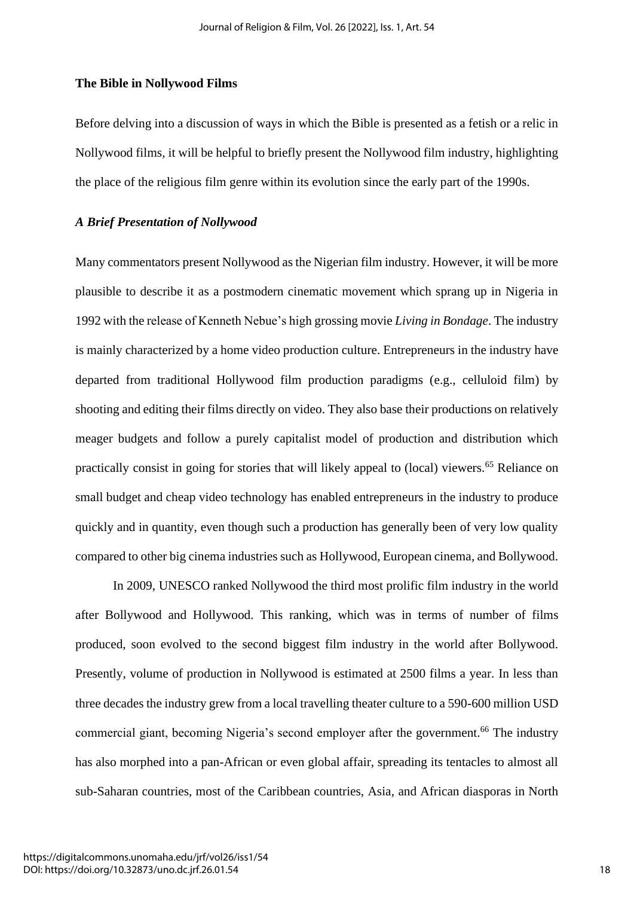#### **The Bible in Nollywood Films**

Before delving into a discussion of ways in which the Bible is presented as a fetish or a relic in Nollywood films, it will be helpful to briefly present the Nollywood film industry, highlighting the place of the religious film genre within its evolution since the early part of the 1990s.

# *A Brief Presentation of Nollywood*

Many commentators present Nollywood as the Nigerian film industry. However, it will be more plausible to describe it as a postmodern cinematic movement which sprang up in Nigeria in 1992 with the release of Kenneth Nebue's high grossing movie *Living in Bondage*. The industry is mainly characterized by a home video production culture. Entrepreneurs in the industry have departed from traditional Hollywood film production paradigms (e.g., celluloid film) by shooting and editing their films directly on video. They also base their productions on relatively meager budgets and follow a purely capitalist model of production and distribution which practically consist in going for stories that will likely appeal to (local) viewers. <sup>65</sup> Reliance on small budget and cheap video technology has enabled entrepreneurs in the industry to produce quickly and in quantity, even though such a production has generally been of very low quality compared to other big cinema industries such as Hollywood, European cinema, and Bollywood.

In 2009, UNESCO ranked Nollywood the third most prolific film industry in the world after Bollywood and Hollywood. This ranking, which was in terms of number of films produced, soon evolved to the second biggest film industry in the world after Bollywood. Presently, volume of production in Nollywood is estimated at 2500 films a year. In less than three decades the industry grew from a local travelling theater culture to a 590-600 million USD commercial giant, becoming Nigeria's second employer after the government.<sup>66</sup> The industry has also morphed into a pan-African or even global affair, spreading its tentacles to almost all sub-Saharan countries, most of the Caribbean countries, Asia, and African diasporas in North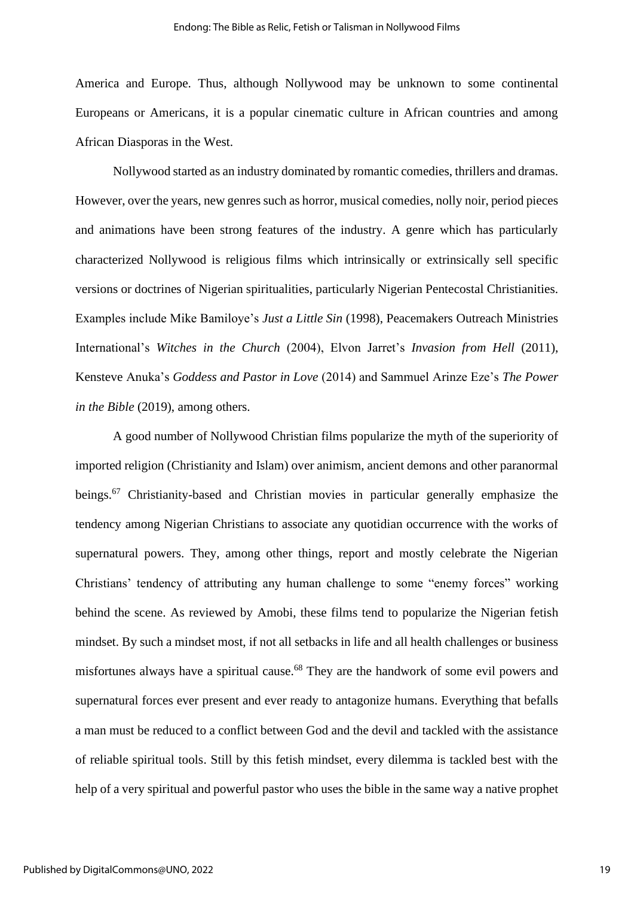America and Europe. Thus, although Nollywood may be unknown to some continental Europeans or Americans, it is a popular cinematic culture in African countries and among African Diasporas in the West.

Nollywood started as an industry dominated by romantic comedies, thrillers and dramas. However, over the years, new genres such as horror, musical comedies, nolly noir, period pieces and animations have been strong features of the industry. A genre which has particularly characterized Nollywood is religious films which intrinsically or extrinsically sell specific versions or doctrines of Nigerian spiritualities, particularly Nigerian Pentecostal Christianities. Examples include Mike Bamiloye's *Just a Little Sin* (1998), Peacemakers Outreach Ministries International's *Witches in the Church* (2004), Elvon Jarret's *Invasion from Hell* (2011), Kensteve Anuka's *Goddess and Pastor in Love* (2014) and Sammuel Arinze Eze's *The Power in the Bible* (2019), among others.

A good number of Nollywood Christian films popularize the myth of the superiority of imported religion (Christianity and Islam) over animism, ancient demons and other paranormal beings.<sup>67</sup> Christianity-based and Christian movies in particular generally emphasize the tendency among Nigerian Christians to associate any quotidian occurrence with the works of supernatural powers. They, among other things, report and mostly celebrate the Nigerian Christians' tendency of attributing any human challenge to some "enemy forces" working behind the scene. As reviewed by Amobi, these films tend to popularize the Nigerian fetish mindset. By such a mindset most, if not all setbacks in life and all health challenges or business misfortunes always have a spiritual cause.<sup>68</sup> They are the handwork of some evil powers and supernatural forces ever present and ever ready to antagonize humans. Everything that befalls a man must be reduced to a conflict between God and the devil and tackled with the assistance of reliable spiritual tools. Still by this fetish mindset, every dilemma is tackled best with the help of a very spiritual and powerful pastor who uses the bible in the same way a native prophet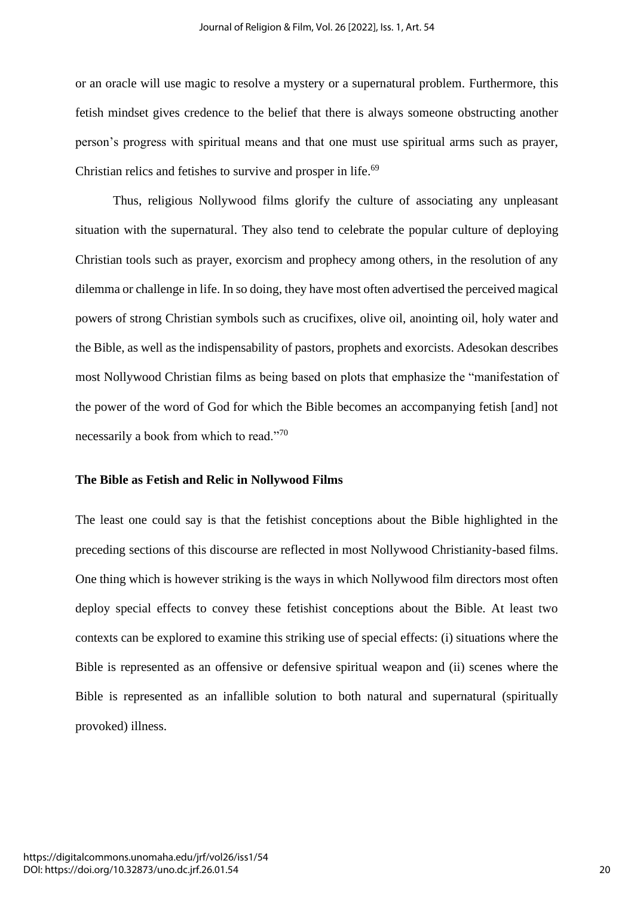or an oracle will use magic to resolve a mystery or a supernatural problem. Furthermore, this fetish mindset gives credence to the belief that there is always someone obstructing another person's progress with spiritual means and that one must use spiritual arms such as prayer, Christian relics and fetishes to survive and prosper in life.<sup>69</sup>

Thus, religious Nollywood films glorify the culture of associating any unpleasant situation with the supernatural. They also tend to celebrate the popular culture of deploying Christian tools such as prayer, exorcism and prophecy among others, in the resolution of any dilemma or challenge in life. In so doing, they have most often advertised the perceived magical powers of strong Christian symbols such as crucifixes, olive oil, anointing oil, holy water and the Bible, as well as the indispensability of pastors, prophets and exorcists. Adesokan describes most Nollywood Christian films as being based on plots that emphasize the "manifestation of the power of the word of God for which the Bible becomes an accompanying fetish [and] not necessarily a book from which to read."70

#### **The Bible as Fetish and Relic in Nollywood Films**

The least one could say is that the fetishist conceptions about the Bible highlighted in the preceding sections of this discourse are reflected in most Nollywood Christianity-based films. One thing which is however striking is the ways in which Nollywood film directors most often deploy special effects to convey these fetishist conceptions about the Bible. At least two contexts can be explored to examine this striking use of special effects: (i) situations where the Bible is represented as an offensive or defensive spiritual weapon and (ii) scenes where the Bible is represented as an infallible solution to both natural and supernatural (spiritually provoked) illness.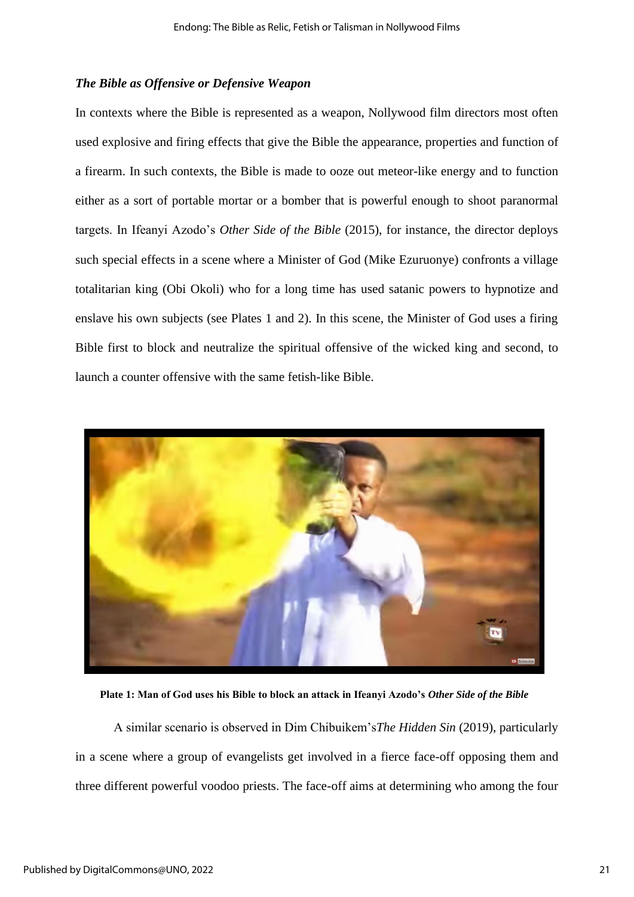#### *The Bible as Offensive or Defensive Weapon*

In contexts where the Bible is represented as a weapon, Nollywood film directors most often used explosive and firing effects that give the Bible the appearance, properties and function of a firearm. In such contexts, the Bible is made to ooze out meteor-like energy and to function either as a sort of portable mortar or a bomber that is powerful enough to shoot paranormal targets. In Ifeanyi Azodo's *Other Side of the Bible* (2015), for instance, the director deploys such special effects in a scene where a Minister of God (Mike Ezuruonye) confronts a village totalitarian king (Obi Okoli) who for a long time has used satanic powers to hypnotize and enslave his own subjects (see Plates 1 and 2). In this scene, the Minister of God uses a firing Bible first to block and neutralize the spiritual offensive of the wicked king and second, to launch a counter offensive with the same fetish-like Bible.



**Plate 1: Man of God uses his Bible to block an attack in Ifeanyi Azodo's** *Other Side of the Bible*

A similar scenario is observed in Dim Chibuikem's*The Hidden Sin* (2019), particularly in a scene where a group of evangelists get involved in a fierce face-off opposing them and three different powerful voodoo priests. The face-off aims at determining who among the four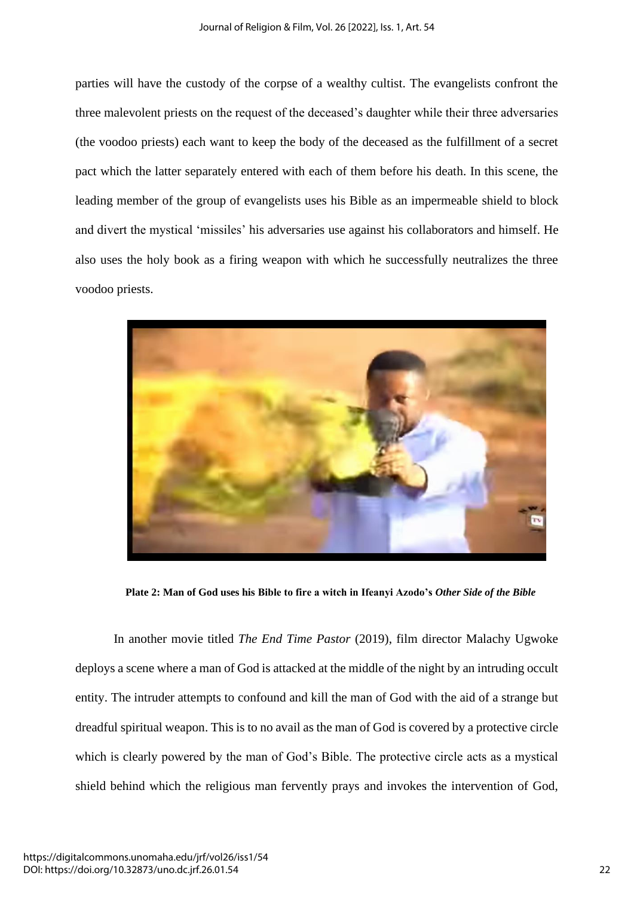parties will have the custody of the corpse of a wealthy cultist. The evangelists confront the three malevolent priests on the request of the deceased's daughter while their three adversaries (the voodoo priests) each want to keep the body of the deceased as the fulfillment of a secret pact which the latter separately entered with each of them before his death. In this scene, the leading member of the group of evangelists uses his Bible as an impermeable shield to block and divert the mystical 'missiles' his adversaries use against his collaborators and himself. He also uses the holy book as a firing weapon with which he successfully neutralizes the three voodoo priests.



**Plate 2: Man of God uses his Bible to fire a witch in Ifeanyi Azodo's** *Other Side of the Bible*

In another movie titled *The End Time Pastor* (2019), film director Malachy Ugwoke deploys a scene where a man of God is attacked at the middle of the night by an intruding occult entity. The intruder attempts to confound and kill the man of God with the aid of a strange but dreadful spiritual weapon. This is to no avail as the man of God is covered by a protective circle which is clearly powered by the man of God's Bible. The protective circle acts as a mystical shield behind which the religious man fervently prays and invokes the intervention of God,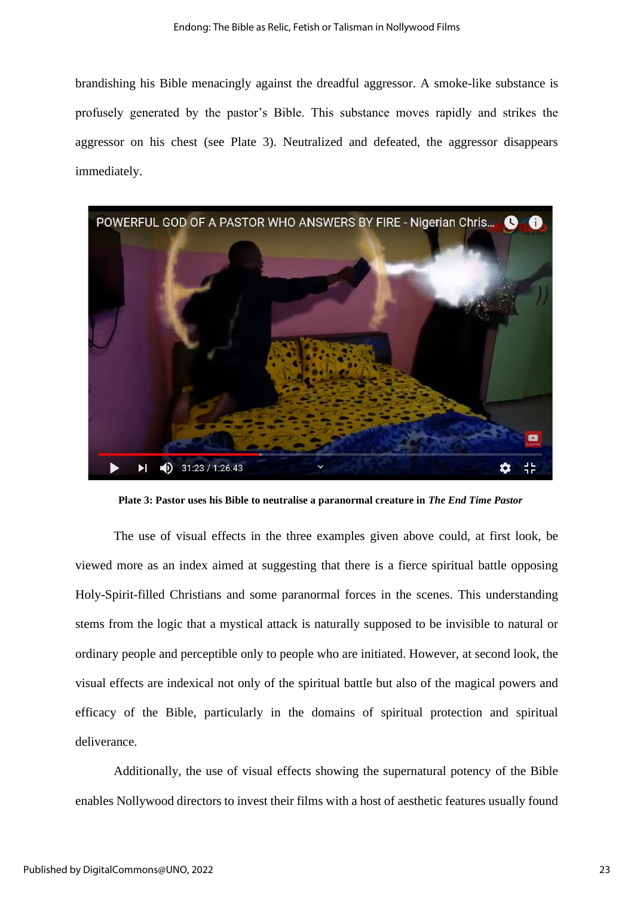brandishing his Bible menacingly against the dreadful aggressor. A smoke-like substance is profusely generated by the pastor's Bible. This substance moves rapidly and strikes the aggressor on his chest (see Plate 3). Neutralized and defeated, the aggressor disappears immediately.



**Plate 3: Pastor uses his Bible to neutralise a paranormal creature in** *The End Time Pastor*

The use of visual effects in the three examples given above could, at first look, be viewed more as an index aimed at suggesting that there is a fierce spiritual battle opposing Holy-Spirit-filled Christians and some paranormal forces in the scenes. This understanding stems from the logic that a mystical attack is naturally supposed to be invisible to natural or ordinary people and perceptible only to people who are initiated. However, at second look, the visual effects are indexical not only of the spiritual battle but also of the magical powers and efficacy of the Bible, particularly in the domains of spiritual protection and spiritual deliverance.

Additionally, the use of visual effects showing the supernatural potency of the Bible enables Nollywood directors to invest their films with a host of aesthetic features usually found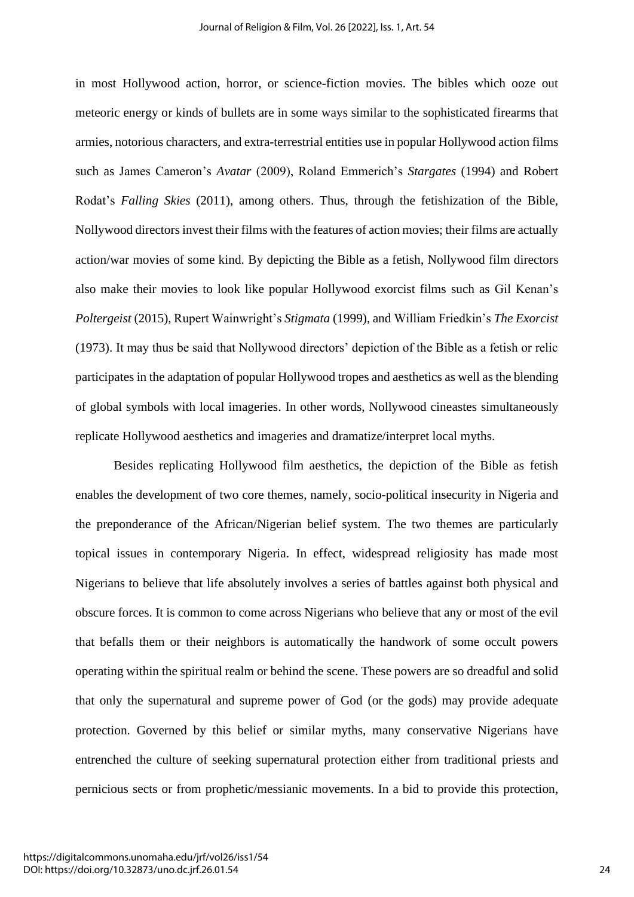in most Hollywood action, horror, or science-fiction movies. The bibles which ooze out meteoric energy or kinds of bullets are in some ways similar to the sophisticated firearms that armies, notorious characters, and extra-terrestrial entities use in popular Hollywood action films such as James Cameron's *Avatar* (2009), Roland Emmerich's *Stargates* (1994) and Robert Rodat's *Falling Skies* (2011), among others. Thus, through the fetishization of the Bible, Nollywood directors invest their films with the features of action movies; their films are actually action/war movies of some kind. By depicting the Bible as a fetish, Nollywood film directors also make their movies to look like popular Hollywood exorcist films such as Gil Kenan's *Poltergeist* (2015), Rupert Wainwright's *Stigmata* (1999), and William Friedkin's *The Exorcist* (1973). It may thus be said that Nollywood directors' depiction of the Bible as a fetish or relic participates in the adaptation of popular Hollywood tropes and aesthetics as well as the blending of global symbols with local imageries. In other words, Nollywood cineastes simultaneously replicate Hollywood aesthetics and imageries and dramatize/interpret local myths.

Besides replicating Hollywood film aesthetics, the depiction of the Bible as fetish enables the development of two core themes, namely, socio-political insecurity in Nigeria and the preponderance of the African/Nigerian belief system. The two themes are particularly topical issues in contemporary Nigeria. In effect, widespread religiosity has made most Nigerians to believe that life absolutely involves a series of battles against both physical and obscure forces. It is common to come across Nigerians who believe that any or most of the evil that befalls them or their neighbors is automatically the handwork of some occult powers operating within the spiritual realm or behind the scene. These powers are so dreadful and solid that only the supernatural and supreme power of God (or the gods) may provide adequate protection. Governed by this belief or similar myths, many conservative Nigerians have entrenched the culture of seeking supernatural protection either from traditional priests and pernicious sects or from prophetic/messianic movements. In a bid to provide this protection,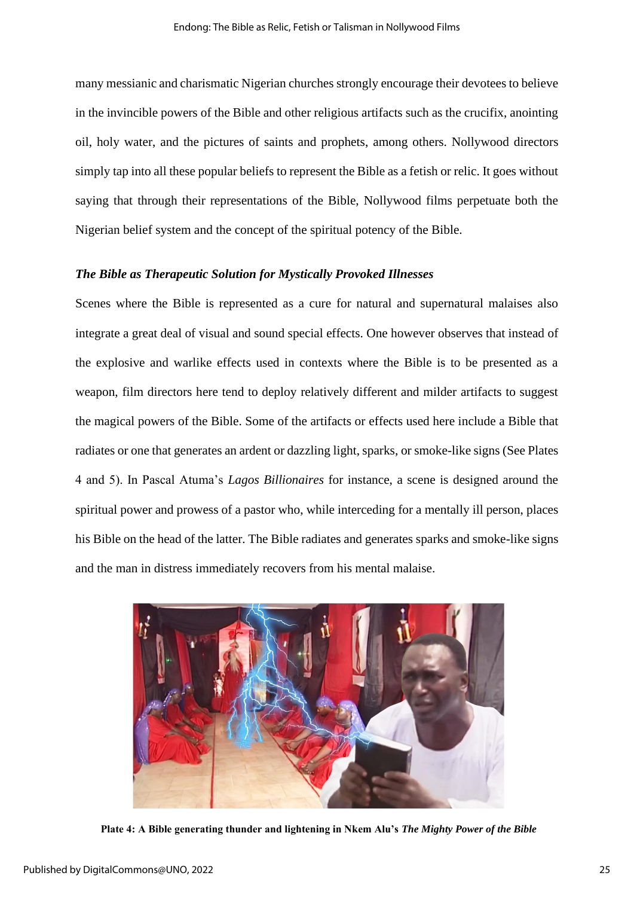many messianic and charismatic Nigerian churches strongly encourage their devotees to believe in the invincible powers of the Bible and other religious artifacts such as the crucifix, anointing oil, holy water, and the pictures of saints and prophets, among others. Nollywood directors simply tap into all these popular beliefs to represent the Bible as a fetish or relic. It goes without saying that through their representations of the Bible, Nollywood films perpetuate both the Nigerian belief system and the concept of the spiritual potency of the Bible.

# *The Bible as Therapeutic Solution for Mystically Provoked Illnesses*

Scenes where the Bible is represented as a cure for natural and supernatural malaises also integrate a great deal of visual and sound special effects. One however observes that instead of the explosive and warlike effects used in contexts where the Bible is to be presented as a weapon, film directors here tend to deploy relatively different and milder artifacts to suggest the magical powers of the Bible. Some of the artifacts or effects used here include a Bible that radiates or one that generates an ardent or dazzling light, sparks, or smoke-like signs (See Plates 4 and 5). In Pascal Atuma's *Lagos Billionaires* for instance, a scene is designed around the spiritual power and prowess of a pastor who, while interceding for a mentally ill person, places his Bible on the head of the latter. The Bible radiates and generates sparks and smoke-like signs and the man in distress immediately recovers from his mental malaise.



**Plate 4: A Bible generating thunder and lightening in Nkem Alu's** *The Mighty Power of the Bible*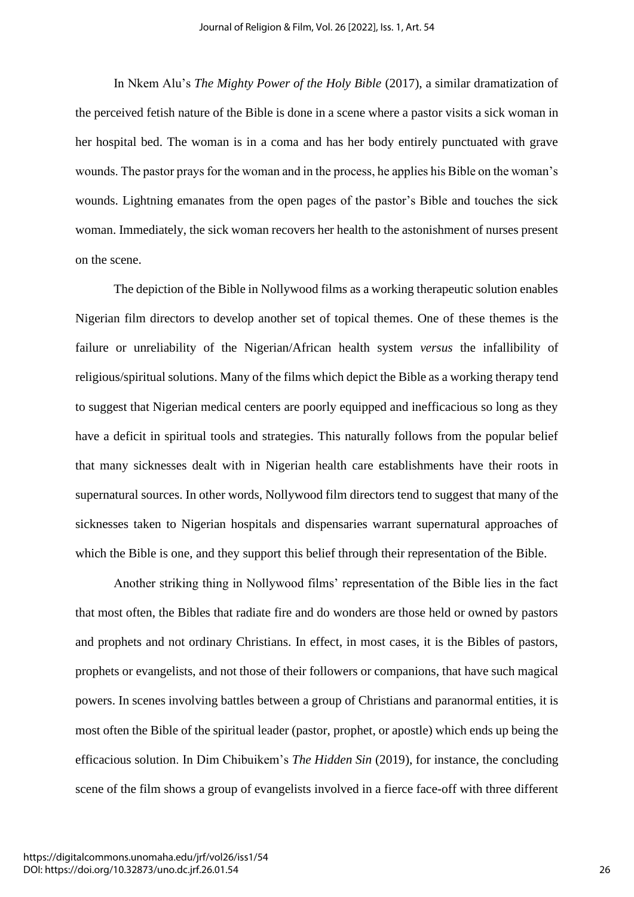In Nkem Alu's *The Mighty Power of the Holy Bible* (2017), a similar dramatization of the perceived fetish nature of the Bible is done in a scene where a pastor visits a sick woman in her hospital bed. The woman is in a coma and has her body entirely punctuated with grave wounds. The pastor prays for the woman and in the process, he applies his Bible on the woman's wounds. Lightning emanates from the open pages of the pastor's Bible and touches the sick woman. Immediately, the sick woman recovers her health to the astonishment of nurses present on the scene.

The depiction of the Bible in Nollywood films as a working therapeutic solution enables Nigerian film directors to develop another set of topical themes. One of these themes is the failure or unreliability of the Nigerian/African health system *versus* the infallibility of religious/spiritual solutions. Many of the films which depict the Bible as a working therapy tend to suggest that Nigerian medical centers are poorly equipped and inefficacious so long as they have a deficit in spiritual tools and strategies. This naturally follows from the popular belief that many sicknesses dealt with in Nigerian health care establishments have their roots in supernatural sources. In other words, Nollywood film directors tend to suggest that many of the sicknesses taken to Nigerian hospitals and dispensaries warrant supernatural approaches of which the Bible is one, and they support this belief through their representation of the Bible.

Another striking thing in Nollywood films' representation of the Bible lies in the fact that most often, the Bibles that radiate fire and do wonders are those held or owned by pastors and prophets and not ordinary Christians. In effect, in most cases, it is the Bibles of pastors, prophets or evangelists, and not those of their followers or companions, that have such magical powers. In scenes involving battles between a group of Christians and paranormal entities, it is most often the Bible of the spiritual leader (pastor, prophet, or apostle) which ends up being the efficacious solution. In Dim Chibuikem's *The Hidden Sin* (2019), for instance, the concluding scene of the film shows a group of evangelists involved in a fierce face-off with three different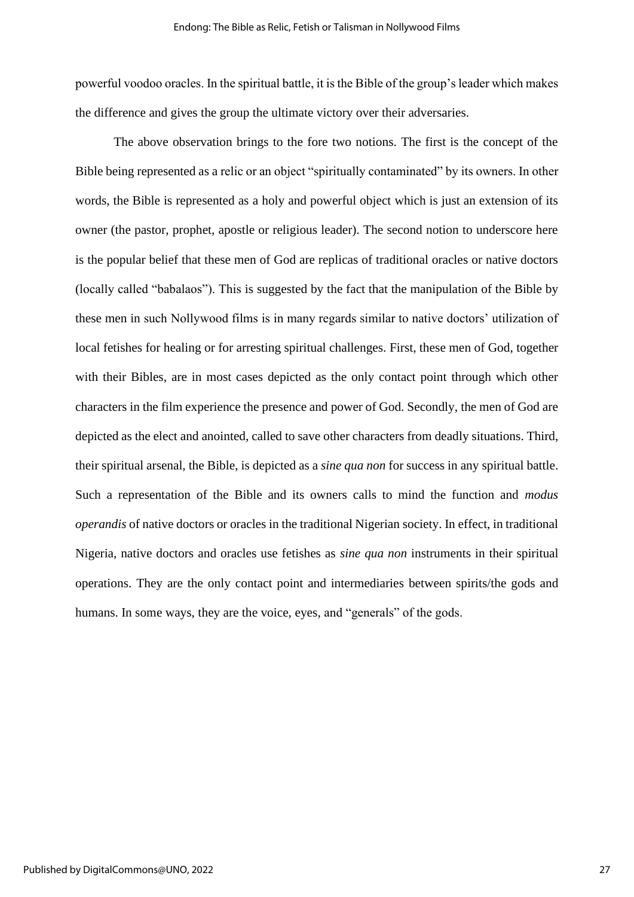powerful voodoo oracles. In the spiritual battle, it is the Bible of the group's leader which makes the difference and gives the group the ultimate victory over their adversaries.

The above observation brings to the fore two notions. The first is the concept of the Bible being represented as a relic or an object "spiritually contaminated" by its owners. In other words, the Bible is represented as a holy and powerful object which is just an extension of its owner (the pastor, prophet, apostle or religious leader). The second notion to underscore here is the popular belief that these men of God are replicas of traditional oracles or native doctors (locally called "babalaos"). This is suggested by the fact that the manipulation of the Bible by these men in such Nollywood films is in many regards similar to native doctors' utilization of local fetishes for healing or for arresting spiritual challenges. First, these men of God, together with their Bibles, are in most cases depicted as the only contact point through which other characters in the film experience the presence and power of God. Secondly, the men of God are depicted as the elect and anointed, called to save other characters from deadly situations. Third, their spiritual arsenal, the Bible, is depicted as a *sine qua non* for success in any spiritual battle. Such a representation of the Bible and its owners calls to mind the function and *modus operandis* of native doctors or oracles in the traditional Nigerian society. In effect, in traditional Nigeria, native doctors and oracles use fetishes as *sine qua non* instruments in their spiritual operations. They are the only contact point and intermediaries between spirits/the gods and humans. In some ways, they are the voice, eyes, and "generals" of the gods.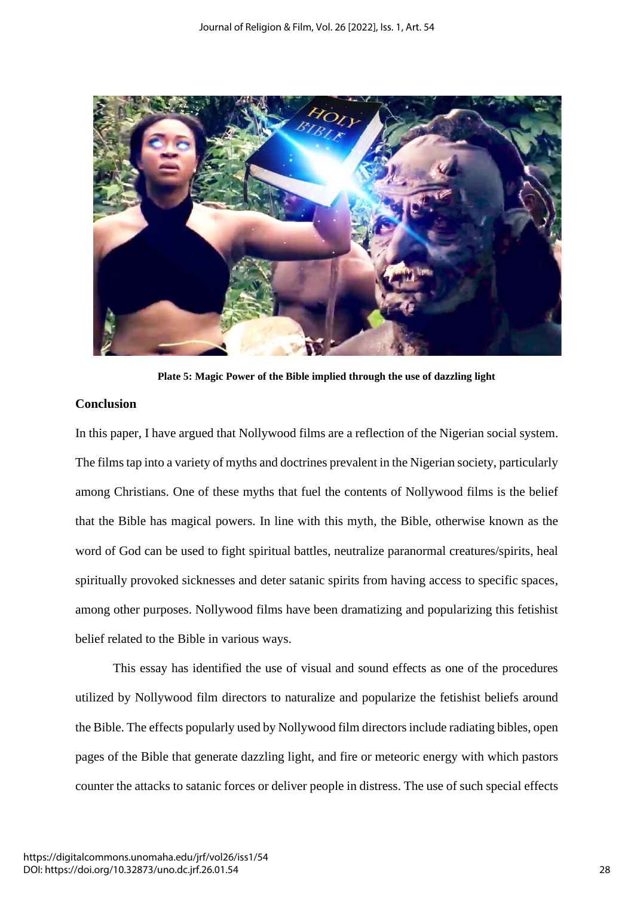

**Plate 5: Magic Power of the Bible implied through the use of dazzling light**

# **Conclusion**

In this paper, I have argued that Nollywood films are a reflection of the Nigerian social system. The films tap into a variety of myths and doctrines prevalent in the Nigerian society, particularly among Christians. One of these myths that fuel the contents of Nollywood films is the belief that the Bible has magical powers. In line with this myth, the Bible, otherwise known as the word of God can be used to fight spiritual battles, neutralize paranormal creatures/spirits, heal spiritually provoked sicknesses and deter satanic spirits from having access to specific spaces, among other purposes. Nollywood films have been dramatizing and popularizing this fetishist belief related to the Bible in various ways.

This essay has identified the use of visual and sound effects as one of the procedures utilized by Nollywood film directors to naturalize and popularize the fetishist beliefs around the Bible. The effects popularly used by Nollywood film directors include radiating bibles, open pages of the Bible that generate dazzling light, and fire or meteoric energy with which pastors counter the attacks to satanic forces or deliver people in distress. The use of such special effects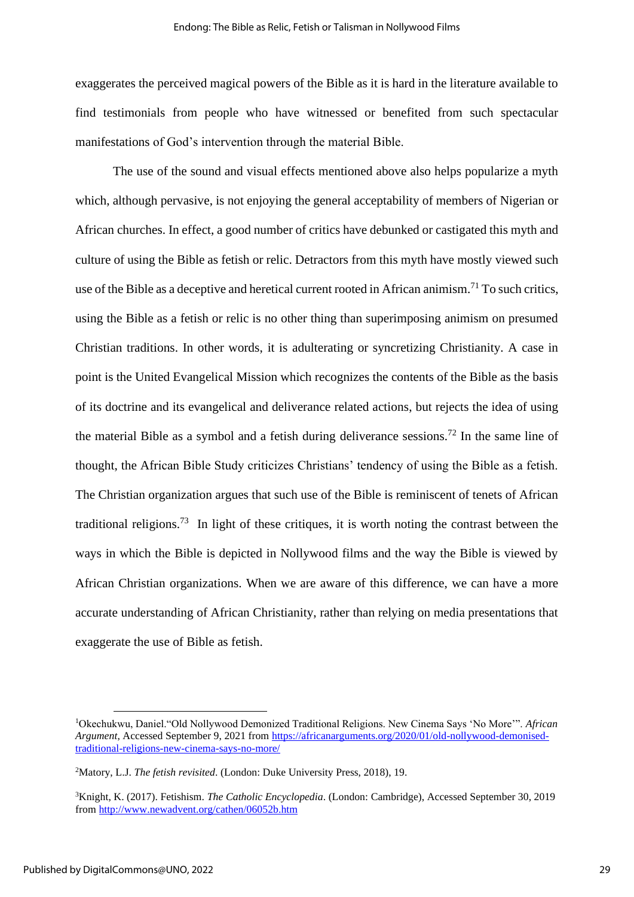exaggerates the perceived magical powers of the Bible as it is hard in the literature available to find testimonials from people who have witnessed or benefited from such spectacular manifestations of God's intervention through the material Bible.

The use of the sound and visual effects mentioned above also helps popularize a myth which, although pervasive, is not enjoying the general acceptability of members of Nigerian or African churches. In effect, a good number of critics have debunked or castigated this myth and culture of using the Bible as fetish or relic. Detractors from this myth have mostly viewed such use of the Bible as a deceptive and heretical current rooted in African animism.<sup>71</sup> To such critics, using the Bible as a fetish or relic is no other thing than superimposing animism on presumed Christian traditions. In other words, it is adulterating or syncretizing Christianity. A case in point is the United Evangelical Mission which recognizes the contents of the Bible as the basis of its doctrine and its evangelical and deliverance related actions, but rejects the idea of using the material Bible as a symbol and a fetish during deliverance sessions.<sup>72</sup> In the same line of thought, the African Bible Study criticizes Christians' tendency of using the Bible as a fetish. The Christian organization argues that such use of the Bible is reminiscent of tenets of African traditional religions.<sup>73</sup> In light of these critiques, it is worth noting the contrast between the ways in which the Bible is depicted in Nollywood films and the way the Bible is viewed by African Christian organizations. When we are aware of this difference, we can have a more accurate understanding of African Christianity, rather than relying on media presentations that exaggerate the use of Bible as fetish.

<sup>1</sup>Okechukwu, Daniel."Old Nollywood Demonized Traditional Religions. New Cinema Says 'No More'". *African Argument*, Accessed September 9, 2021 from [https://africanarguments.org/2020/01/old-nollywood-demonised](https://africanarguments.org/2020/01/old-nollywood-demonised-traditional-religions-new-cinema-says-no-more/)[traditional-religions-new-cinema-says-no-more/](https://africanarguments.org/2020/01/old-nollywood-demonised-traditional-religions-new-cinema-says-no-more/)

<sup>2</sup>Matory, L.J. *The fetish revisited*. (London: Duke University Press, 2018), 19.

<sup>3</sup>Knight, K. (2017). Fetishism. *The Catholic Encyclopedia*. (London: Cambridge), Accessed September 30, 2019 from<http://www.newadvent.org/cathen/06052b.htm>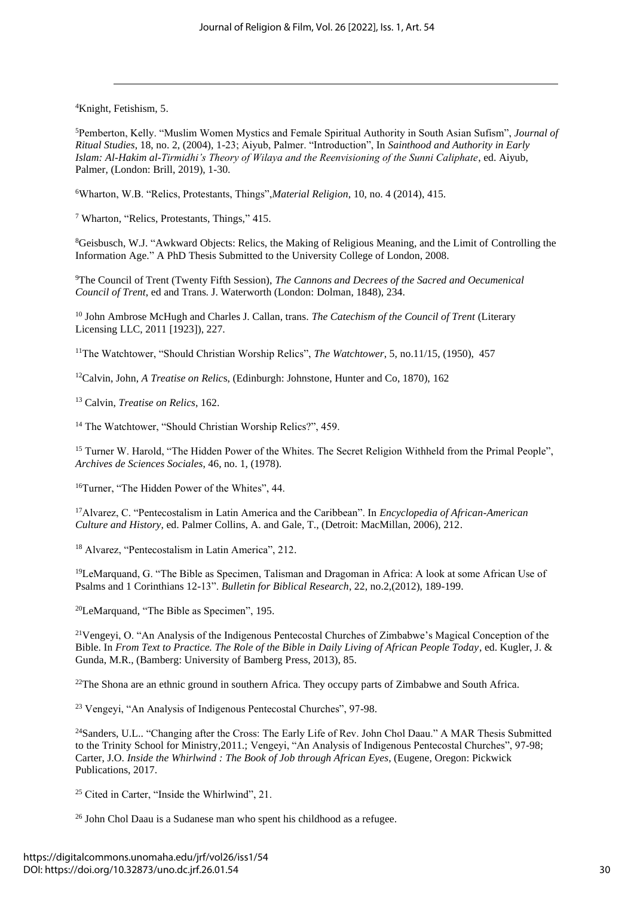<sup>4</sup>Knight, Fetishism, 5.

<sup>5</sup>Pemberton, Kelly. "Muslim Women Mystics and Female Spiritual Authority in South Asian Sufism", *Journal of Ritual Studies*, 18, no. 2, (2004), 1-23; Aiyub, Palmer. "Introduction", In *Sainthood and Authority in Early Islam: Al-Hakim al-Tirmidhi's Theory of Wilaya and the Reenvisioning of the Sunni Caliphate*, ed. Aiyub, Palmer, (London: Brill, 2019), 1-30.

<sup>6</sup>Wharton, W.B. "Relics, Protestants, Things",*Material Religion*, 10, no. 4 (2014), 415.

<sup>7</sup> Wharton, "Relics, Protestants, Things," 415.

<sup>8</sup>Geisbusch, W.J. "Awkward Objects: Relics, the Making of Religious Meaning, and the Limit of Controlling the Information Age." A PhD Thesis Submitted to the University College of London, 2008.

<sup>9</sup>The Council of Trent (Twenty Fifth Session), *The Cannons and Decrees of the Sacred and Oecumenical Council of Trent*, ed and Trans. J. Waterworth (London: Dolman, 1848), 234.

<sup>10</sup> John Ambrose McHugh and Charles J. Callan, trans. *The Catechism of the Council of Trent* (Literary Licensing LLC, 2011 [1923]), 227.

<sup>11</sup>The Watchtower, "Should Christian Worship Relics", *The Watchtower*, 5, no.11/15, (1950), 457

<sup>12</sup>Calvin, John, *A Treatise on Relic*s, (Edinburgh: Johnstone, Hunter and Co, 1870), 162

<sup>13</sup> Calvin, *Treatise on Relics*, 162.

<sup>14</sup> The Watchtower, "Should Christian Worship Relics?", 459.

<sup>15</sup> Turner W. Harold, "The Hidden Power of the Whites. The Secret Religion Withheld from the Primal People", *Archives de Sciences Sociales*, 46, no. 1, (1978).

<sup>16</sup>Turner, "The Hidden Power of the Whites", 44.

<sup>17</sup>Alvarez, C. "Pentecostalism in Latin America and the Caribbean". In *Encyclopedia of African-American Culture and History*, ed. Palmer Collins, A. and Gale, T., (Detroit: MacMillan, 2006), 212.

<sup>18</sup> Alvarez, "Pentecostalism in Latin America", 212.

<sup>19</sup>LeMarquand, G. "The Bible as Specimen, Talisman and Dragoman in Africa: A look at some African Use of Psalms and 1 Corinthians 12-13". *Bulletin for Biblical Research*, 22, no.2,(2012), 189-199.

<sup>20</sup>LeMarquand, "The Bible as Specimen", 195.

<sup>21</sup>Vengeyi, O. "An Analysis of the Indigenous Pentecostal Churches of Zimbabwe's Magical Conception of the Bible. In *From Text to Practice. The Role of the Bible in Daily Living of African People Today*, ed. Kugler, J. & Gunda, M.R., (Bamberg: University of Bamberg Press, 2013), 85.

<sup>22</sup>The Shona are an ethnic ground in southern Africa. They occupy parts of Zimbabwe and South Africa.

<sup>23</sup> Vengeyi, "An Analysis of Indigenous Pentecostal Churches", 97-98.

<sup>24</sup>Sanders, U.L.. "Changing after the Cross: The Early Life of Rev. John Chol Daau." A MAR Thesis Submitted to the Trinity School for Ministry,2011.; Vengeyi, "An Analysis of Indigenous Pentecostal Churches", 97-98; Carter, J.O. *Inside the Whirlwind : The Book of Job through African Eyes*, (Eugene, Oregon: Pickwick Publications, 2017.

<sup>25</sup> Cited in Carter, "Inside the Whirlwind", 21.

<sup>26</sup> John Chol Daau is a Sudanese man who spent his childhood as a refugee.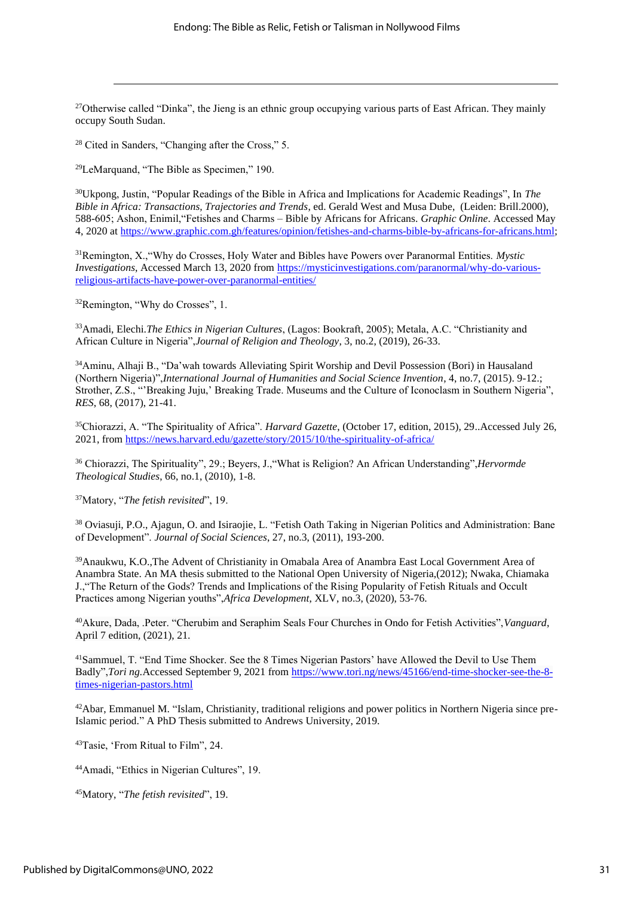<sup>27</sup>Otherwise called "Dinka", the Jieng is an ethnic group occupying various parts of East African. They mainly occupy South Sudan.

<sup>28</sup> Cited in Sanders, "Changing after the Cross," 5.

<sup>29</sup>LeMarquand, "The Bible as Specimen," 190.

<sup>30</sup>Ukpong, Justin, "Popular Readings of the Bible in Africa and Implications for Academic Readings", In *The Bible in Africa: Transactions, Trajectories and Trends*, ed. Gerald West and Musa Dube, (Leiden: Brill.2000), 588-605; Ashon, Enimil,"Fetishes and Charms – Bible by Africans for Africans. *Graphic Online*. Accessed May 4, 2020 at [https://www.graphic.com.gh/features/opinion/fetishes-and-charms-bible-by-africans-for-africans.html;](https://www.graphic.com.gh/features/opinion/fetishes-and-charms-bible-by-africans-for-africans.html)

<sup>31</sup>Remington, X.,"Why do Crosses, Holy Water and Bibles have Powers over Paranormal Entities. *Mystic Investigations*, Accessed March 13, 2020 from [https://mysticinvestigations.com/paranormal/why-do-various](https://mysticinvestigations.com/paranormal/why-do-various-religious-artifacts-have-power-over-paranormal-entities/)[religious-artifacts-have-power-over-paranormal-entities/](https://mysticinvestigations.com/paranormal/why-do-various-religious-artifacts-have-power-over-paranormal-entities/)

<sup>32</sup>Remington, "Why do Crosses", 1.

<sup>33</sup>Amadi, Elechi.*The Ethics in Nigerian Cultures*, (Lagos: Bookraft, 2005); Metala, A.C. "Christianity and African Culture in Nigeria",*Journal of Religion and Theology*, 3, no.2, (2019), 26-33.

<sup>34</sup>Aminu, Alhaji B., "Da'wah towards Alleviating Spirit Worship and Devil Possession (Bori) in Hausaland (Northern Nigeria)",*International Journal of Humanities and Social Science Invention*, 4, no.7, (2015). 9-12.; Strother, Z.S., "'Breaking Juju,' Breaking Trade. Museums and the Culture of Iconoclasm in Southern Nigeria", *RES*, 68, (2017), 21-41.

<sup>35</sup>Chiorazzi, A. "The Spirituality of Africa". *Harvard Gazette*, (October 17, edition, 2015), 29..Accessed July 26, 2021, from<https://news.harvard.edu/gazette/story/2015/10/the-spirituality-of-africa/>

<sup>36</sup> Chiorazzi, The Spirituality", 29.; Beyers, J.,"What is Religion? An African Understanding",*Hervormde Theological Studies*, 66, no.1, (2010), 1-8.

<sup>37</sup>Matory, "*The fetish revisited*", 19.

<sup>38</sup> Oviasuji, P.O., Ajagun, O. and Isiraojie, L. "Fetish Oath Taking in Nigerian Politics and Administration: Bane of Development". *Journal of Social Sciences*, 27, no.3, (2011), 193-200.

<sup>39</sup>Anaukwu, K.O.,The Advent of Christianity in Omabala Area of Anambra East Local Government Area of Anambra State. An MA thesis submitted to the National Open University of Nigeria,(2012); Nwaka, Chiamaka J.,"The Return of the Gods? Trends and Implications of the Rising Popularity of Fetish Rituals and Occult Practices among Nigerian youths",*Africa Development*, XLV, no.3, (2020), 53-76.

<sup>40</sup>Akure, Dada, .Peter. "Cherubim and Seraphim Seals Four Churches in Ondo for Fetish Activities",*Vanguard*, April 7 edition, (2021), 21.

<sup>41</sup>Sammuel, T. "End Time Shocker. See the 8 Times Nigerian Pastors' have Allowed the Devil to Use Them Badly",*Tori ng.*Accessed September 9, 2021 from [https://www.tori.ng/news/45166/end-time-shocker-see-the-8](https://www.tori.ng/news/45166/end-time-shocker-see-the-8-times-nigerian-pastors.html) [times-nigerian-pastors.html](https://www.tori.ng/news/45166/end-time-shocker-see-the-8-times-nigerian-pastors.html)

42Abar, Emmanuel M. "Islam, Christianity, traditional religions and power politics in Northern Nigeria since pre-Islamic period." A PhD Thesis submitted to Andrews University, 2019.

<sup>43</sup>Tasie, 'From Ritual to Film", 24.

<sup>44</sup>Amadi, "Ethics in Nigerian Cultures", 19.

<sup>45</sup>Matory, "*The fetish revisited*", 19.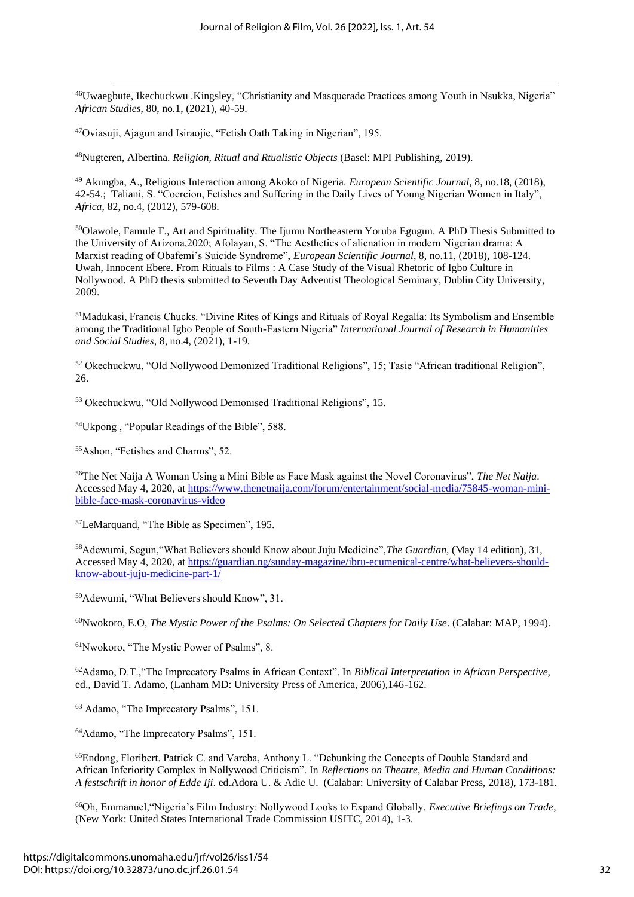<sup>46</sup>Uwaegbute, Ikechuckwu .Kingsley, "Christianity and Masquerade Practices among Youth in Nsukka, Nigeria" *African Studies*, 80, no.1, (2021), 40-59.

<sup>47</sup>Oviasuji, Ajagun and Isiraojie, "Fetish Oath Taking in Nigerian", 195.

<sup>48</sup>Nugteren, Albertina. *Religion, Ritual and Rtualistic Objects* (Basel: MPI Publishing, 2019).

<sup>49</sup> Akungba, A., Religious Interaction among Akoko of Nigeria. *European Scientific Journal*, 8, no.18, (2018), 42-54.; Taliani, S. "Coercion, Fetishes and Suffering in the Daily Lives of Young Nigerian Women in Italy", *Africa*, 82, no.4, (2012), 579-608.

<sup>50</sup>Olawole, Famule F., Art and Spirituality. The Ijumu Northeastern Yoruba Egugun. A PhD Thesis Submitted to the University of Arizona,2020; Afolayan, S. "The Aesthetics of alienation in modern Nigerian drama: A Marxist reading of Obafemi's Suicide Syndrome", *European Scientific Journal*, 8, no.11, (2018), 108-124. Uwah, Innocent Ebere. From Rituals to Films : A Case Study of the Visual Rhetoric of Igbo Culture in Nollywood. A PhD thesis submitted to Seventh Day Adventist Theological Seminary, Dublin City University, 2009.

<sup>51</sup>Madukasi, Francis Chucks. "Divine Rites of Kings and Rituals of Royal Regalía: Its Symbolism and Ensemble among the Traditional Igbo People of South-Eastern Nigeria" *International Journal of Research in Humanities and Social Studies*, 8, no.4, (2021), 1-19.

<sup>52</sup> Okechuckwu, "Old Nollywood Demonized Traditional Religions", 15; Tasie "African traditional Religion", 26.

<sup>53</sup> Okechuckwu, "Old Nollywood Demonised Traditional Religions", 15.

<sup>54</sup>Ukpong , "Popular Readings of the Bible", 588.

<sup>55</sup>Ashon, "Fetishes and Charms", 52.

<sup>56</sup>The Net Naija A Woman Using a Mini Bible as Face Mask against the Novel Coronavirus", *The Net Naija*. Accessed May 4, 2020, a[t https://www.thenetnaija.com/forum/entertainment/social-media/75845-woman-mini](https://www.thenetnaija.com/forum/entertainment/social-media/75845-woman-mini-bible-face-mask-coronavirus-video)[bible-face-mask-coronavirus-video](https://www.thenetnaija.com/forum/entertainment/social-media/75845-woman-mini-bible-face-mask-coronavirus-video)

<sup>57</sup>LeMarquand, "The Bible as Specimen", 195.

<sup>58</sup>Adewumi, Segun,"What Believers should Know about Juju Medicine",*The Guardian*, (May 14 edition), 31, Accessed May 4, 2020, a[t https://guardian.ng/sunday-magazine/ibru-ecumenical-centre/what-believers-should](https://guardian.ng/sunday-magazine/ibru-ecumenical-centre/what-believers-should-know-about-juju-medicine-part-1/)[know-about-juju-medicine-part-1/](https://guardian.ng/sunday-magazine/ibru-ecumenical-centre/what-believers-should-know-about-juju-medicine-part-1/)

<sup>59</sup>Adewumi, "What Believers should Know", 31.

<sup>60</sup>Nwokoro, E.O, *The Mystic Power of the Psalms: On Selected Chapters for Daily Use*. (Calabar: MAP, 1994).

<sup>61</sup>Nwokoro, "The Mystic Power of Psalms", 8.

<sup>62</sup>Adamo, D.T.,"The Imprecatory Psalms in African Context". In *Biblical Interpretation in African Perspective,*  ed., David T. Adamo, (Lanham MD: University Press of America, 2006),146-162.

<sup>63</sup> Adamo, "The Imprecatory Psalms", 151.

<sup>64</sup>Adamo, "The Imprecatory Psalms", 151.

<sup>65</sup>Endong, Floribert. Patrick C. and Vareba, Anthony L. "Debunking the Concepts of Double Standard and African Inferiority Complex in Nollywood Criticism". In *Reflections on Theatre, Media and Human Conditions: A festschrift in honor of Edde Iji*. ed.Adora U. & Adie U. (Calabar: University of Calabar Press, 2018), 173-181.

<sup>66</sup>Oh, Emmanuel,"Nigeria's Film Industry: Nollywood Looks to Expand Globally. *Executive Briefings on Trade*, (New York: United States International Trade Commission USITC, 2014), 1-3.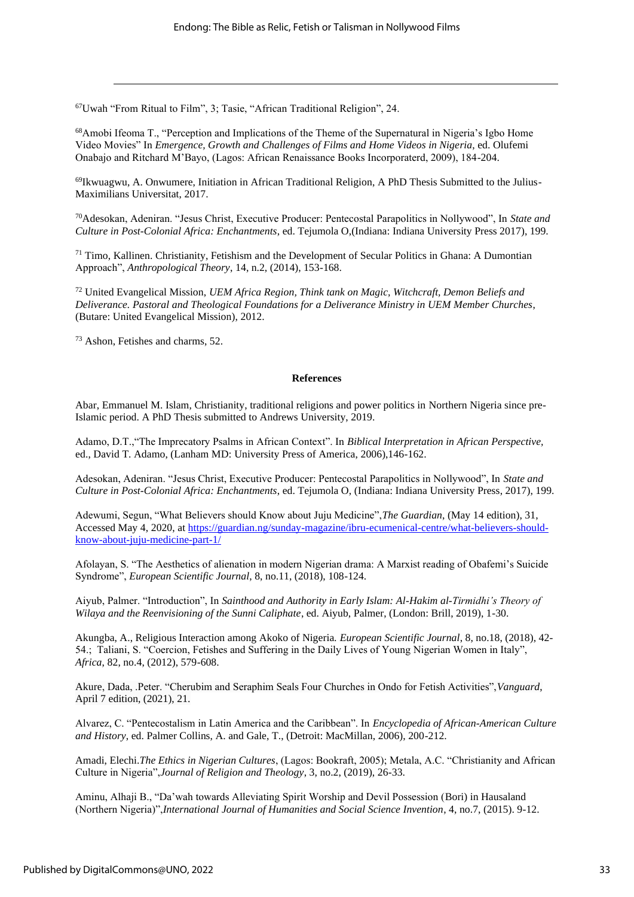<sup>67</sup>Uwah "From Ritual to Film", 3; Tasie, "African Traditional Religion", 24.

<sup>68</sup>Amobi Ifeoma T., "Perception and Implications of the Theme of the Supernatural in Nigeria's Igbo Home Video Movies" In *Emergence, Growth and Challenges of Films and Home Videos in Nigeria*, ed. Olufemi Onabajo and Ritchard M'Bayo, (Lagos: African Renaissance Books Incorporaterd, 2009), 184-204.

69Ikwuagwu, A. Onwumere, Initiation in African Traditional Religion, A PhD Thesis Submitted to the Julius-Maximilians Universitat, 2017.

<sup>70</sup>Adesokan, Adeniran. "Jesus Christ, Executive Producer: Pentecostal Parapolitics in Nollywood", In *State and Culture in Post-Colonial Africa: Enchantments*, ed. Tejumola O,(Indiana: Indiana University Press 2017), 199.

 $71$  Timo, Kallinen. Christianity, Fetishism and the Development of Secular Politics in Ghana: A Dumontian Approach", *Anthropological Theory*, 14, n.2, (2014), 153-168.

<sup>72</sup> United Evangelical Mission, *UEM Africa Region, Think tank on Magic, Witchcraft, Demon Beliefs and Deliverance. Pastoral and Theological Foundations for a Deliverance Ministry in UEM Member Churches*, (Butare: United Evangelical Mission), 2012.

<sup>73</sup> Ashon, Fetishes and charms, 52.

#### **References**

Abar, Emmanuel M. Islam, Christianity, traditional religions and power politics in Northern Nigeria since pre-Islamic period. A PhD Thesis submitted to Andrews University, 2019.

Adamo, D.T.,"The Imprecatory Psalms in African Context". In *Biblical Interpretation in African Perspective,*  ed., David T. Adamo, (Lanham MD: University Press of America, 2006),146-162.

Adesokan, Adeniran. "Jesus Christ, Executive Producer: Pentecostal Parapolitics in Nollywood", In *State and Culture in Post-Colonial Africa: Enchantments*, ed. Tejumola O, (Indiana: Indiana University Press, 2017), 199.

Adewumi, Segun, "What Believers should Know about Juju Medicine",*The Guardian*, (May 14 edition), 31, Accessed May 4, 2020, a[t https://guardian.ng/sunday-magazine/ibru-ecumenical-centre/what-believers-should](https://guardian.ng/sunday-magazine/ibru-ecumenical-centre/what-believers-should-know-about-juju-medicine-part-1/)[know-about-juju-medicine-part-1/](https://guardian.ng/sunday-magazine/ibru-ecumenical-centre/what-believers-should-know-about-juju-medicine-part-1/)

Afolayan, S. "The Aesthetics of alienation in modern Nigerian drama: A Marxist reading of Obafemi's Suicide Syndrome", *European Scientific Journal*, 8, no.11, (2018), 108-124.

Aiyub, Palmer. "Introduction", In *Sainthood and Authority in Early Islam: Al-Hakim al-Tirmidhi's Theory of Wilaya and the Reenvisioning of the Sunni Caliphate*, ed. Aiyub, Palmer, (London: Brill, 2019), 1-30.

Akungba, A., Religious Interaction among Akoko of Nigeria. *European Scientific Journal*, 8, no.18, (2018), 42- 54.; Taliani, S. "Coercion, Fetishes and Suffering in the Daily Lives of Young Nigerian Women in Italy", *Africa*, 82, no.4, (2012), 579-608.

Akure, Dada, .Peter. "Cherubim and Seraphim Seals Four Churches in Ondo for Fetish Activities",*Vanguard*, April 7 edition, (2021), 21.

Alvarez, C. "Pentecostalism in Latin America and the Caribbean". In *Encyclopedia of African-American Culture and History*, ed. Palmer Collins, A. and Gale, T., (Detroit: MacMillan, 2006), 200-212.

Amadi, Elechi.*The Ethics in Nigerian Cultures*, (Lagos: Bookraft, 2005); Metala, A.C. "Christianity and African Culture in Nigeria",*Journal of Religion and Theology*, 3, no.2, (2019), 26-33.

Aminu, Alhaji B., "Da'wah towards Alleviating Spirit Worship and Devil Possession (Bori) in Hausaland (Northern Nigeria)",*International Journal of Humanities and Social Science Invention*, 4, no.7, (2015). 9-12.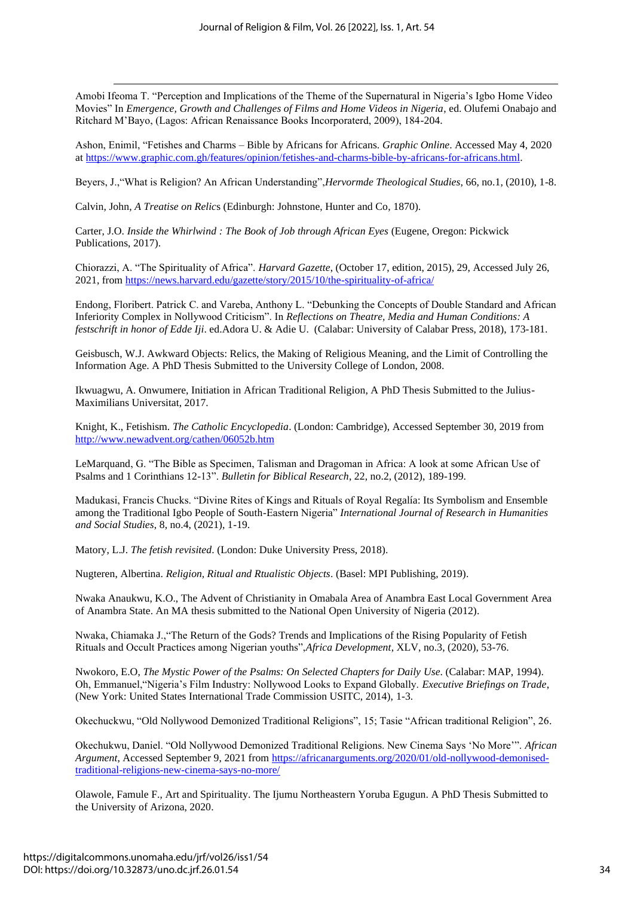Amobi Ifeoma T. "Perception and Implications of the Theme of the Supernatural in Nigeria's Igbo Home Video Movies" In *Emergence, Growth and Challenges of Films and Home Videos in Nigeria*, ed. Olufemi Onabajo and Ritchard M'Bayo, (Lagos: African Renaissance Books Incorporaterd, 2009), 184-204.

Ashon, Enimil, "Fetishes and Charms – Bible by Africans for Africans. *Graphic Online*. Accessed May 4, 2020 a[t https://www.graphic.com.gh/features/opinion/fetishes-and-charms-bible-by-africans-for-africans.html.](https://www.graphic.com.gh/features/opinion/fetishes-and-charms-bible-by-africans-for-africans.html)

Beyers, J.,"What is Religion? An African Understanding",*Hervormde Theological Studies*, 66, no.1, (2010), 1-8.

Calvin, John, *A Treatise on Relic*s (Edinburgh: Johnstone, Hunter and Co, 1870).

Carter, J.O. *Inside the Whirlwind : The Book of Job through African Eyes* (Eugene, Oregon: Pickwick Publications, 2017).

Chiorazzi, A. "The Spirituality of Africa". *Harvard Gazette*, (October 17, edition, 2015), 29, Accessed July 26, 2021, from<https://news.harvard.edu/gazette/story/2015/10/the-spirituality-of-africa/>

Endong, Floribert. Patrick C. and Vareba, Anthony L. "Debunking the Concepts of Double Standard and African Inferiority Complex in Nollywood Criticism". In *Reflections on Theatre, Media and Human Conditions: A festschrift in honor of Edde Iji*. ed.Adora U. & Adie U. (Calabar: University of Calabar Press, 2018), 173-181.

Geisbusch, W.J. Awkward Objects: Relics, the Making of Religious Meaning, and the Limit of Controlling the Information Age. A PhD Thesis Submitted to the University College of London, 2008.

Ikwuagwu, A. Onwumere, Initiation in African Traditional Religion, A PhD Thesis Submitted to the Julius-Maximilians Universitat, 2017.

Knight, K., Fetishism. *The Catholic Encyclopedia*. (London: Cambridge), Accessed September 30, 2019 from <http://www.newadvent.org/cathen/06052b.htm>

LeMarquand, G. "The Bible as Specimen, Talisman and Dragoman in Africa: A look at some African Use of Psalms and 1 Corinthians 12-13". *Bulletin for Biblical Research*, 22, no.2, (2012), 189-199.

Madukasi, Francis Chucks. "Divine Rites of Kings and Rituals of Royal Regalía: Its Symbolism and Ensemble among the Traditional Igbo People of South-Eastern Nigeria" *International Journal of Research in Humanities and Social Studies*, 8, no.4, (2021), 1-19.

Matory, L.J. *The fetish revisited*. (London: Duke University Press, 2018).

Nugteren, Albertina. *Religion, Ritual and Rtualistic Objects*. (Basel: MPI Publishing, 2019).

Nwaka Anaukwu, K.O., The Advent of Christianity in Omabala Area of Anambra East Local Government Area of Anambra State. An MA thesis submitted to the National Open University of Nigeria (2012).

Nwaka, Chiamaka J.,"The Return of the Gods? Trends and Implications of the Rising Popularity of Fetish Rituals and Occult Practices among Nigerian youths",*Africa Development*, XLV, no.3, (2020), 53-76.

Nwokoro, E.O, *The Mystic Power of the Psalms: On Selected Chapters for Daily Use*. (Calabar: MAP, 1994). Oh, Emmanuel,"Nigeria's Film Industry: Nollywood Looks to Expand Globally. *Executive Briefings on Trade*, (New York: United States International Trade Commission USITC, 2014), 1-3.

Okechuckwu, "Old Nollywood Demonized Traditional Religions", 15; Tasie "African traditional Religion", 26.

Okechukwu, Daniel. "Old Nollywood Demonized Traditional Religions. New Cinema Says 'No More'". *African Argument*, Accessed September 9, 2021 from [https://africanarguments.org/2020/01/old-nollywood-demonised](https://africanarguments.org/2020/01/old-nollywood-demonised-traditional-religions-new-cinema-says-no-more/)[traditional-religions-new-cinema-says-no-more/](https://africanarguments.org/2020/01/old-nollywood-demonised-traditional-religions-new-cinema-says-no-more/)

Olawole, Famule F., Art and Spirituality. The Ijumu Northeastern Yoruba Egugun. A PhD Thesis Submitted to the University of Arizona, 2020.